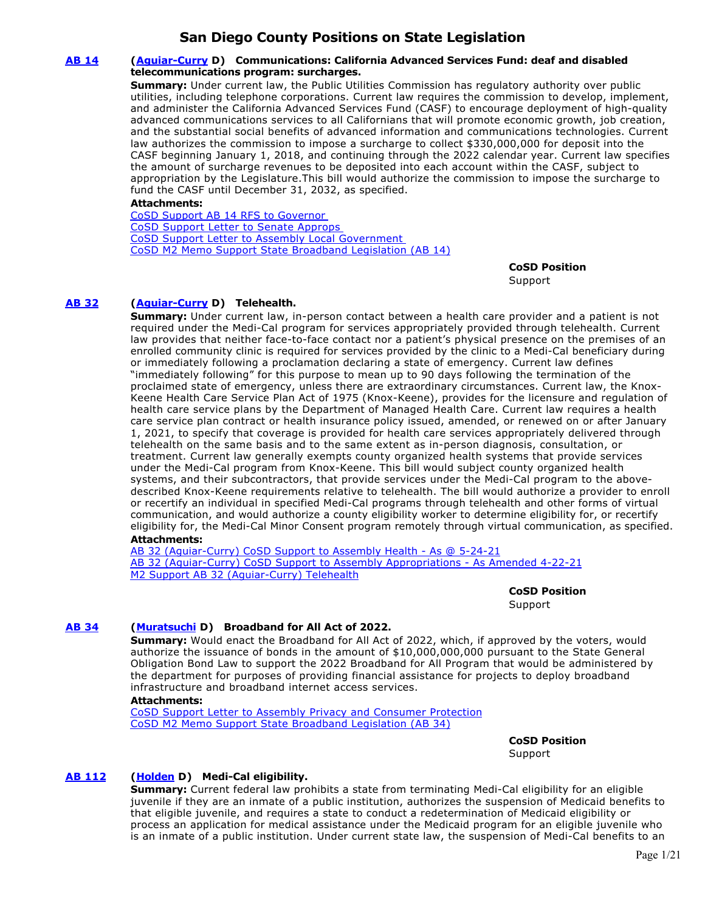# **San Diego County Positions on State Legislation**

# **[AB 14](https://ctweb.capitoltrack.com/public/publishbillinfo.aspx?bi=ULiq4QQcLVZtvk5Moi4RcTB8TGjRMVbJQQfVkyapYTLAW9Th9FDOGEyKJnuyQGvn) [\(Aguiar-Curry](https://a04.asmdc.org/) D) Communications: California Advanced Services Fund: deaf and disabled telecommunications program: surcharges.**

**Summary:** Under current law, the Public Utilities Commission has regulatory authority over public utilities, including telephone corporations. Current law requires the commission to develop, implement, and administer the California Advanced Services Fund (CASF) to encourage deployment of high-quality advanced communications services to all Californians that will promote economic growth, job creation, and the substantial social benefits of advanced information and communications technologies. Current law authorizes the commission to impose a surcharge to collect \$330,000,000 for deposit into the CASF beginning January 1, 2018, and continuing through the 2022 calendar year. Current law specifies the amount of surcharge revenues to be deposited into each account within the CASF, subject to appropriation by the Legislature.This bill would authorize the commission to impose the surcharge to fund the CASF until December 31, 2032, as specified.

# **Attachments:**

[CoSD Support AB 14 RFS to Governor](https://ctweb.capitoltrack.com/public/publishviewdoc.ashx?di=s3MhtDglwA4W%2B%2FlyPbQfpOvlMLbsiNoPReDehh9Mvsk%3D)  [CoSD Support Letter to Senate Approps](https://ctweb.capitoltrack.com/public/publishviewdoc.ashx?di=w2z3%2F9c%2Fba%2BxMF79QG7O7HL9wfztzYehKU%2BhYCM%2FII4%3D)  [CoSD Support Letter to Assembly Local Government](https://ctweb.capitoltrack.com/public/publishviewdoc.ashx?di=iXq56dA7di5B0P9gasLBh1sEd4Rez4mbUW9WfBKDqdE%3D)  [CoSD M2 Memo Support State Broadband Legislation \(AB 14\)](https://ctweb.capitoltrack.com/public/publishviewdoc.ashx?di=iXq56dA7di5B0P9gasLBhz74wy8CW8f92j7o%2BTPBP80%3D)

**CoSD Position** 

Support

# **[AB 32](https://ctweb.capitoltrack.com/public/publishbillinfo.aspx?bi=vrD8Rz5Tpa97onIPLBBaHGvL%2BQb8efyWcMN7RZnCIaqw26A77t8tGzaF3Yu%2B4Gam) [\(Aguiar-Curry](https://a04.asmdc.org/) D) Telehealth.**

**Summary:** Under current law, in-person contact between a health care provider and a patient is not required under the Medi-Cal program for services appropriately provided through telehealth. Current law provides that neither face-to-face contact nor a patient's physical presence on the premises of an enrolled community clinic is required for services provided by the clinic to a Medi-Cal beneficiary during or immediately following a proclamation declaring a state of emergency. Current law defines "immediately following" for this purpose to mean up to 90 days following the termination of the proclaimed state of emergency, unless there are extraordinary circumstances. Current law, the Knox-Keene Health Care Service Plan Act of 1975 (Knox-Keene), provides for the licensure and regulation of health care service plans by the Department of Managed Health Care. Current law requires a health care service plan contract or health insurance policy issued, amended, or renewed on or after January 1, 2021, to specify that coverage is provided for health care services appropriately delivered through telehealth on the same basis and to the same extent as in-person diagnosis, consultation, or treatment. Current law generally exempts county organized health systems that provide services under the Medi-Cal program from Knox-Keene. This bill would subject county organized health systems, and their subcontractors, that provide services under the Medi-Cal program to the abovedescribed Knox-Keene requirements relative to telehealth. The bill would authorize a provider to enroll or recertify an individual in specified Medi-Cal programs through telehealth and other forms of virtual communication, and would authorize a county eligibility worker to determine eligibility for, or recertify eligibility for, the Medi-Cal Minor Consent program remotely through virtual communication, as specified. **Attachments:**

[AB 32 \(Aguiar-Curry\) CoSD Support to Assembly Health - As @ 5-24-21](https://ctweb.capitoltrack.com/public/publishviewdoc.ashx?di=8C4wTfEfpr41ThHGwF0DjGupGbyjyviUFJFFY0UY43U%3D) [AB 32 \(Aguiar-Curry\) CoSD Support to Assembly Appropriations - As Amended 4-22-21](https://ctweb.capitoltrack.com/public/publishviewdoc.ashx?di=iP0BgGgyhDmG6c3c%2FbMcChx9Bm8bt1yjUI%2F7Kw6bOqs%3D) [M2 Support AB 32 \(Aguiar-Curry\) Telehealth](https://ctweb.capitoltrack.com/public/publishviewdoc.ashx?di=k1gqpYGHsqoBzUxtLGVlPgkz%2Fp9ALwgPkqC3XFJ0%2Fgo%3D)

> **CoSD Position**  Support

# **[AB 34](https://ctweb.capitoltrack.com/public/publishbillinfo.aspx?bi=A4p0p6tXfRHcDhAmT6AZz2hG63lZ34AnjpJaWdHCrEgXygyX3SsdyVRF5WL65mVp) [\(Muratsuchi](https://a66.asmdc.org/) D) Broadband for All Act of 2022.**

**Summary:** Would enact the Broadband for All Act of 2022, which, if approved by the voters, would authorize the issuance of bonds in the amount of \$10,000,000,000 pursuant to the State General Obligation Bond Law to support the 2022 Broadband for All Program that would be administered by the department for purposes of providing financial assistance for projects to deploy broadband infrastructure and broadband internet access services.

#### **Attachments:**

[CoSD Support Letter to Assembly Privacy and Consumer Protection](https://ctweb.capitoltrack.com/public/publishviewdoc.ashx?di=4%2FKsz0z3G2zqrEa6IDqDO0LDaIcURnpekVQ5SQHiPL0%3D) [CoSD M2 Memo Support State Broadband Legislation \(AB 34\)](https://ctweb.capitoltrack.com/public/publishviewdoc.ashx?di=4%2FKsz0z3G2zqrEa6IDqDO5aqOQLPEGqg%2Bsxh1kpc2Go%3D)

> **CoSD Position**  Support

# **[AB 112](https://ctweb.capitoltrack.com/public/publishbillinfo.aspx?bi=r1kZmakRzmFa68fDySOlKmQbG7KtX6XGUDGCKBBfXtI%2FRoK2qpYwnLho3IOl5gbu) [\(Holden](https://a41.asmdc.org/) D) Medi-Cal eligibility.**

**Summary:** Current federal law prohibits a state from terminating Medi-Cal eligibility for an eligible juvenile if they are an inmate of a public institution, authorizes the suspension of Medicaid benefits to that eligible juvenile, and requires a state to conduct a redetermination of Medicaid eligibility or process an application for medical assistance under the Medicaid program for an eligible juvenile who is an inmate of a public institution. Under current state law, the suspension of Medi-Cal benefits to an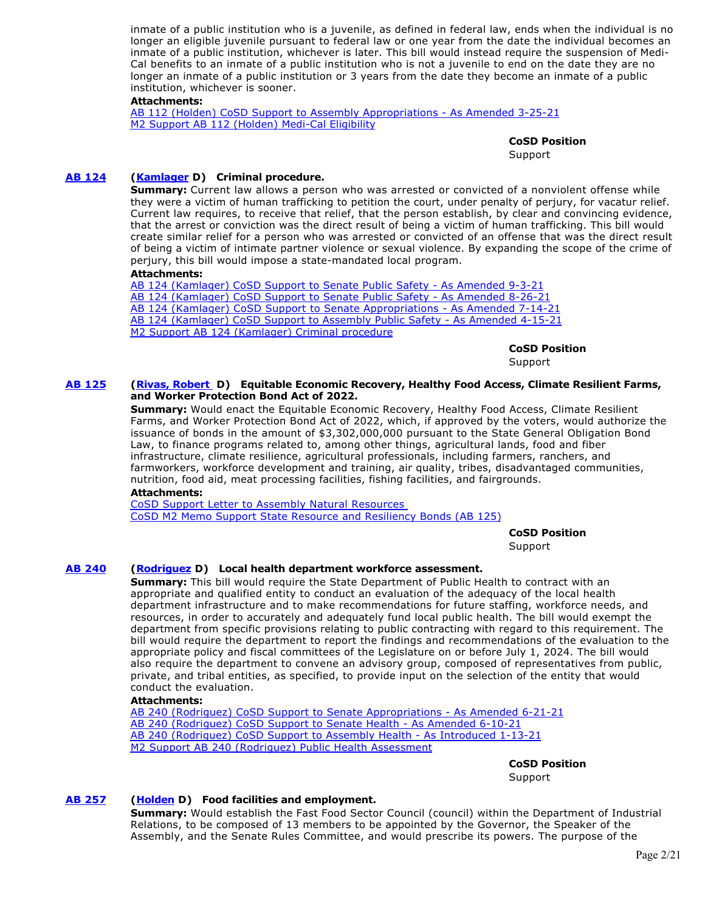inmate of a public institution who is a juvenile, as defined in federal law, ends when the individual is no longer an eligible juvenile pursuant to federal law or one year from the date the individual becomes an inmate of a public institution, whichever is later. This bill would instead require the suspension of Medi-Cal benefits to an inmate of a public institution who is not a juvenile to end on the date they are no longer an inmate of a public institution or 3 years from the date they become an inmate of a public institution, whichever is sooner.

### **Attachments:**

[AB 112 \(Holden\) CoSD Support to Assembly Appropriations - As Amended 3-25-21](https://ctweb.capitoltrack.com/public/publishviewdoc.ashx?di=IWP9B5M5qT%2BlsW7YaeDIImDnG02RBnSuTS%2F6206N1Qk%3D) [M2 Support AB 112 \(Holden\) Medi-Cal Eligibility](https://ctweb.capitoltrack.com/public/publishviewdoc.ashx?di=qw0%2B8khJ4Mrv9a0%2B%2B%2BOtM7cDG8ZPNlujy5BT03zuipU%3D)

**CoSD Position** 

**Support** 

# **[AB 124](https://ctweb.capitoltrack.com/public/publishbillinfo.aspx?bi=d5b9ZcwgmvPlq9cR2QXIfe2TYdxUpNjImDvyuar0HovE3Bh55bYyCO9d1F%2FQriQ5) [\(Kamlager](https://a54.asmdc.org/) D) Criminal procedure.**

**Summary:** Current law allows a person who was arrested or convicted of a nonviolent offense while they were a victim of human trafficking to petition the court, under penalty of perjury, for vacatur relief. Current law requires, to receive that relief, that the person establish, by clear and convincing evidence, that the arrest or conviction was the direct result of being a victim of human trafficking. This bill would create similar relief for a person who was arrested or convicted of an offense that was the direct result of being a victim of intimate partner violence or sexual violence. By expanding the scope of the crime of perjury, this bill would impose a state-mandated local program.

#### **Attachments:**

[AB 124 \(Kamlager\) CoSD Support to Senate Public Safety - As Amended 9-3-21](https://ctweb.capitoltrack.com/public/publishviewdoc.ashx?di=cQjPv%2BYoy%2FG5060xub6hKvhPrvOC%2FRcuRbMIjv%2FPCCg%3D) [AB 124 \(Kamlager\) CoSD Support to Senate Public Safety - As Amended 8-26-21](https://ctweb.capitoltrack.com/public/publishviewdoc.ashx?di=fSb6kyyUGWNnqaErcK3%2BIBfV9VcoTmpV5K2rPMmWOIk%3D) [AB 124 \(Kamlager\) CoSD Support to Senate Appropriations - As Amended 7-14-21](https://ctweb.capitoltrack.com/public/publishviewdoc.ashx?di=WJOheIv4p3Nuoj2UwnWnP4qo29sruoTZ5PcfU8M3c2E%3D) [AB 124 \(Kamlager\) CoSD Support to Assembly Public Safety - As Amended 4-15-21](https://ctweb.capitoltrack.com/public/publishviewdoc.ashx?di=Sp%2FXVIFuqlvWJlM25O%2FD1uVcYdhPRYK5pJHqqGFk7Uk%3D) [M2 Support AB 124 \(Kamlager\) Criminal procedure](https://ctweb.capitoltrack.com/public/publishviewdoc.ashx?di=Sp%2FXVIFuqlvWJlM25O%2FD1gAdruAd%2BC4DpnapCHOa5nw%3D)

**CoSD Position** 

Support

#### **[AB 125](https://ctweb.capitoltrack.com/public/publishbillinfo.aspx?bi=hwEmJ3aT994SN7mrOIVnXRTStwjMvkHUQ4OXBZrwaTBLLiXKeX8KONcOupgGyvC0) [\(Rivas, Robert](https://a30.asmdc.org/)  D) Equitable Economic Recovery, Healthy Food Access, Climate Resilient Farms, and Worker Protection Bond Act of 2022.**

**Summary:** Would enact the Equitable Economic Recovery, Healthy Food Access, Climate Resilient Farms, and Worker Protection Bond Act of 2022, which, if approved by the voters, would authorize the issuance of bonds in the amount of \$3,302,000,000 pursuant to the State General Obligation Bond Law, to finance programs related to, among other things, agricultural lands, food and fiber infrastructure, climate resilience, agricultural professionals, including farmers, ranchers, and farmworkers, workforce development and training, air quality, tribes, disadvantaged communities, nutrition, food aid, meat processing facilities, fishing facilities, and fairgrounds.

#### **Attachments:**

[CoSD Support Letter to Assembly Natural Resources](https://ctweb.capitoltrack.com/public/publishviewdoc.ashx?di=ap71NUuKC9xgb3027JcNcpVSMZVDoxli1NfNij7aW14%3D)  [CoSD M2 Memo Support State Resource and Resiliency Bonds \(AB 125\)](https://ctweb.capitoltrack.com/public/publishviewdoc.ashx?di=ap71NUuKC9xgb3027JcNcloTGQ70qC%2FeAxZQx4t%2BMwQ%3D)

**CoSD Position** 

Support

# **[AB 240](https://ctweb.capitoltrack.com/public/publishbillinfo.aspx?bi=5T8gOIG5QCYgvc%2BhXStEY7Pozsr%2BL86zoDbbLot2fr6S3E1lyyIO4P3O8ge6Gt75) [\(Rodriguez](https://a52.asmdc.org/) D) Local health department workforce assessment.**

**Summary:** This bill would require the State Department of Public Health to contract with an appropriate and qualified entity to conduct an evaluation of the adequacy of the local health department infrastructure and to make recommendations for future staffing, workforce needs, and resources, in order to accurately and adequately fund local public health. The bill would exempt the department from specific provisions relating to public contracting with regard to this requirement. The bill would require the department to report the findings and recommendations of the evaluation to the appropriate policy and fiscal committees of the Legislature on or before July 1, 2024. The bill would also require the department to convene an advisory group, composed of representatives from public, private, and tribal entities, as specified, to provide input on the selection of the entity that would conduct the evaluation.

### **Attachments:**

[AB 240 \(Rodriguez\) CoSD Support to Senate Appropriations - As Amended 6-21-21](https://ctweb.capitoltrack.com/public/publishviewdoc.ashx?di=Vr5LtwMbZOpvJI0kLXfqcnqrY64C5DgQjcPvmwJHHUw%3D) [AB 240 \(Rodriguez\) CoSD Support to Senate Health - As Amended 6-10-21](https://ctweb.capitoltrack.com/public/publishviewdoc.ashx?di=PI2nLhLmUMuAb5Wio0%2FztWsj7V4JsWmcoJHgHM3ieCc%3D) [AB 240 \(Rodriguez\) CoSD Support to Assembly Health - As Introduced 1-13-21](https://ctweb.capitoltrack.com/public/publishviewdoc.ashx?di=IWP9B5M5qT%2BlsW7YaeDIIiFss%2Fga83A4%2B%2FNicIsPcFQ%3D) [M2 Support AB 240 \(Rodriguez\) Public Health Assessment](https://ctweb.capitoltrack.com/public/publishviewdoc.ashx?di=DUKFf9MC%2FfPnyojaKU549JpEVMHlXOr%2FjdVWD5vL%2BHs%3D)

> **CoSD Position**  Support

# **[AB 257](https://ctweb.capitoltrack.com/public/publishbillinfo.aspx?bi=x3ySlIeHktokMGjaVrcH3u12wt0vOr%2FwOY%2FJd5QB5lAVdCoU4xWkGBgKNfLCqTCS) [\(Holden](https://a41.asmdc.org/) D) Food facilities and employment.**

**Summary:** Would establish the Fast Food Sector Council (council) within the Department of Industrial Relations, to be composed of 13 members to be appointed by the Governor, the Speaker of the Assembly, and the Senate Rules Committee, and would prescribe its powers. The purpose of the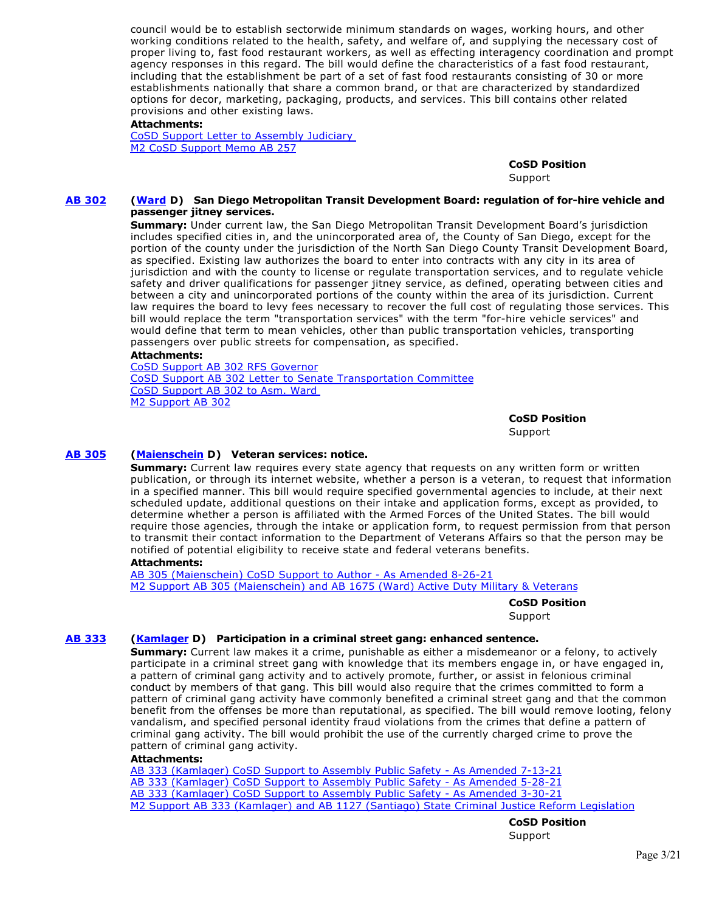council would be to establish sectorwide minimum standards on wages, working hours, and other working conditions related to the health, safety, and welfare of, and supplying the necessary cost of proper living to, fast food restaurant workers, as well as effecting interagency coordination and prompt agency responses in this regard. The bill would define the characteristics of a fast food restaurant, including that the establishment be part of a set of fast food restaurants consisting of 30 or more establishments nationally that share a common brand, or that are characterized by standardized options for decor, marketing, packaging, products, and services. This bill contains other related provisions and other existing laws.

#### **Attachments:**

[CoSD Support Letter to Assembly Judiciary](https://ctweb.capitoltrack.com/public/publishviewdoc.ashx?di=Fk5GURxMaDKHM0RVSv5UBWpXS4tyOhBliAugfyxLUas%3D)  [M2 CoSD Support Memo AB 257](https://ctweb.capitoltrack.com/public/publishviewdoc.ashx?di=45jp73%2Bx20mgFXfo68%2Bo%2FUwd6CdlZn%2FtdXuEeIaD0to%3D)

> **CoSD Position**  Support

#### **[AB 302](https://ctweb.capitoltrack.com/public/publishbillinfo.aspx?bi=lMsWCIoQonzUyvbutNFOKd6y7NxEo2%2FZvFzy4JSim7YJ4vuiEFk21dvVz0B2NPPM) [\(Ward](https://a78.asmdc.org/) D) San Diego Metropolitan Transit Development Board: regulation of for-hire vehicle and passenger jitney services.**

**Summary:** Under current law, the San Diego Metropolitan Transit Development Board's jurisdiction includes specified cities in, and the unincorporated area of, the County of San Diego, except for the portion of the county under the jurisdiction of the North San Diego County Transit Development Board, as specified. Existing law authorizes the board to enter into contracts with any city in its area of jurisdiction and with the county to license or regulate transportation services, and to regulate vehicle safety and driver qualifications for passenger jitney service, as defined, operating between cities and between a city and unincorporated portions of the county within the area of its jurisdiction. Current law requires the board to levy fees necessary to recover the full cost of regulating those services. This bill would replace the term "transportation services" with the term "for-hire vehicle services" and would define that term to mean vehicles, other than public transportation vehicles, transporting passengers over public streets for compensation, as specified.

#### **Attachments:**

[CoSD Support AB 302 RFS Governor](https://ctweb.capitoltrack.com/public/publishviewdoc.ashx?di=CVe57Sp4EMMPDZ4GpEUTpodeYnEviRkY1CYdMpn76po%3D) [CoSD Support AB 302 Letter to Senate Transportation Committee](https://ctweb.capitoltrack.com/public/publishviewdoc.ashx?di=JiONPqGPQf1fZZWtdBaQjuWlVCZmul1crxWUbrrD8YQ%3D) [CoSD Support AB 302 to Asm. Ward](https://ctweb.capitoltrack.com/public/publishviewdoc.ashx?di=63OlKslnkGI%2Bv6hH0GffY5KhF9kPuHuYWrOOAWXiQw0%3D)  [M2 Support AB 302](https://ctweb.capitoltrack.com/public/publishviewdoc.ashx?di=do45Zti83W%2FsAre9YtExSNdXJCQCtUZ1ZplBMmmAGJk%3D)

**CoSD Position** 

Support

#### **[AB 305](https://ctweb.capitoltrack.com/public/publishbillinfo.aspx?bi=XLiUvzmP2YeO%2Bu49tb%2FLw43nypRpTpIdtg%2BXqNwu71A7bzdvkUuGhYmOsZ8dF3xs) [\(Maienschein](https://a77.asmdc.org/) D) Veteran services: notice.**

**Summary:** Current law requires every state agency that requests on any written form or written publication, or through its internet website, whether a person is a veteran, to request that information in a specified manner. This bill would require specified governmental agencies to include, at their next scheduled update, additional questions on their intake and application forms, except as provided, to determine whether a person is affiliated with the Armed Forces of the United States. The bill would require those agencies, through the intake or application form, to request permission from that person to transmit their contact information to the Department of Veterans Affairs so that the person may be notified of potential eligibility to receive state and federal veterans benefits.

#### **Attachments:**

[AB 305 \(Maienschein\) CoSD Support to Author - As Amended 8-26-21](https://ctweb.capitoltrack.com/public/publishviewdoc.ashx?di=zL%2Fn%2BQ2FQmZFdaWfTjHIyq506e9JqdfqZy53iVNCQt0%3D) [M2 Support AB 305 \(Maienschein\) and AB 1675 \(Ward\) Active Duty Military & Veterans](https://ctweb.capitoltrack.com/public/publishviewdoc.ashx?di=zL%2Fn%2BQ2FQmZFdaWfTjHIypiDdB2L8tnrxlOxRLIAOmg%3D)

> **CoSD Position**  Support

# **[AB 333](https://ctweb.capitoltrack.com/public/publishbillinfo.aspx?bi=Z1OK4Pylzk1SApd5uE5Flnb6sYe7OQzE5jnn0lVqmLPbcx1vZpV7DtcFMEm76Gws) [\(Kamlager](https://a54.asmdc.org/) D) Participation in a criminal street gang: enhanced sentence.**

**Summary:** Current law makes it a crime, punishable as either a misdemeanor or a felony, to actively participate in a criminal street gang with knowledge that its members engage in, or have engaged in, a pattern of criminal gang activity and to actively promote, further, or assist in felonious criminal conduct by members of that gang. This bill would also require that the crimes committed to form a pattern of criminal gang activity have commonly benefited a criminal street gang and that the common benefit from the offenses be more than reputational, as specified. The bill would remove looting, felony vandalism, and specified personal identity fraud violations from the crimes that define a pattern of criminal gang activity. The bill would prohibit the use of the currently charged crime to prove the pattern of criminal gang activity.

#### **Attachments:**

[AB 333 \(Kamlager\) CoSD Support to Assembly Public Safety - As Amended 7-13-21](https://ctweb.capitoltrack.com/public/publishviewdoc.ashx?di=fSb6kyyUGWNnqaErcK3%2BIEenFu9tffCAy8Rm7cx28VY%3D) [AB 333 \(Kamlager\) CoSD Support to Assembly Public Safety - As Amended 5-28-21](https://ctweb.capitoltrack.com/public/publishviewdoc.ashx?di=Wdl5LdqTG2qQpUAQRyGMOQRc3fePp35Gk%2BjVe2rsdkM%3D) [AB 333 \(Kamlager\) CoSD Support to Assembly Public Safety - As Amended 3-30-21](https://ctweb.capitoltrack.com/public/publishviewdoc.ashx?di=5RuOWQAdI5TbzC9i1uiThMq32W0OkqpMgFA9qNfMtds%3D) [M2 Support AB 333 \(Kamlager\) and AB 1127 \(Santiago\) State Criminal Justice Reform Legislation](https://ctweb.capitoltrack.com/public/publishviewdoc.ashx?di=jkdSb85pORxxd9K4v9p%2F4veTutGK4P%2BEV3rrwmXL3eU%3D)

**CoSD Position** 

Support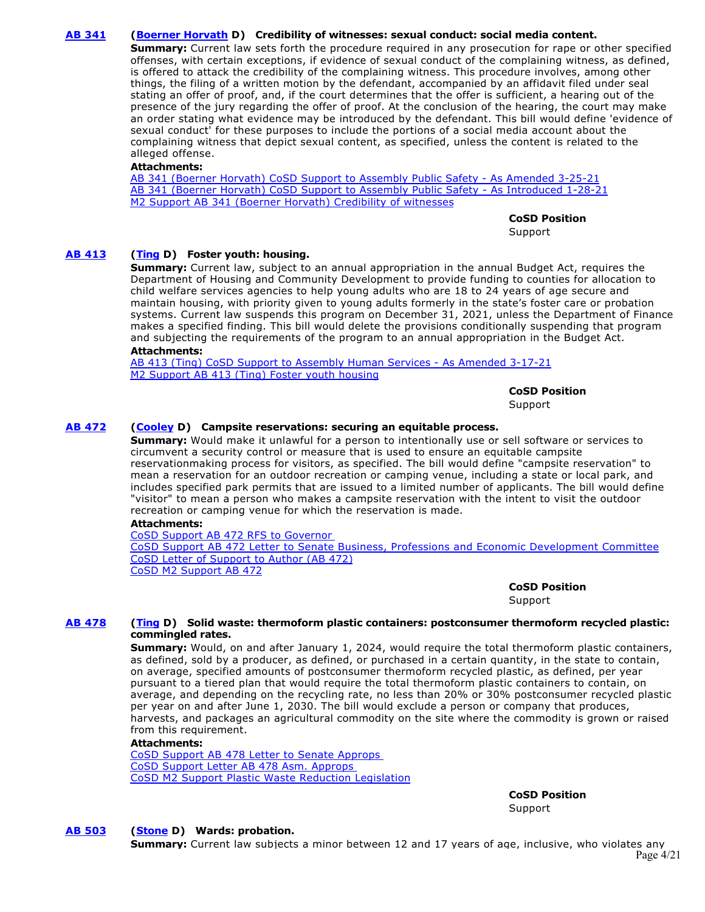# **[AB 341](https://ctweb.capitoltrack.com/public/publishbillinfo.aspx?bi=DEAkSFryhM64zjFu41hjOpxn3xYxakej8Gxvnx3kvVWCboFIhGFUPoc0mbccNZ%2F%2B) [\(Boerner Horvath](https://a76.asmdc.org/) D) Credibility of witnesses: sexual conduct: social media content.**

**Summary:** Current law sets forth the procedure required in any prosecution for rape or other specified offenses, with certain exceptions, if evidence of sexual conduct of the complaining witness, as defined, is offered to attack the credibility of the complaining witness. This procedure involves, among other things, the filing of a written motion by the defendant, accompanied by an affidavit filed under seal stating an offer of proof, and, if the court determines that the offer is sufficient, a hearing out of the presence of the jury regarding the offer of proof. At the conclusion of the hearing, the court may make an order stating what evidence may be introduced by the defendant. This bill would define 'evidence of sexual conduct' for these purposes to include the portions of a social media account about the complaining witness that depict sexual content, as specified, unless the content is related to the alleged offense.

### **Attachments:**

[AB 341 \(Boerner Horvath\) CoSD Support to Assembly Public Safety - As Amended 3-25-21](https://ctweb.capitoltrack.com/public/publishviewdoc.ashx?di=IWP9B5M5qT%2BlsW7YaeDIItolHs%2Bf8z%2FKHM7266gxybo%3D) [AB 341 \(Boerner Horvath\) CoSD Support to Assembly Public Safety - As Introduced 1-28-21](https://ctweb.capitoltrack.com/public/publishviewdoc.ashx?di=IWP9B5M5qT%2BlsW7YaeDIIl946OWfCUhXuPRXmhmMD8w%3D) [M2 Support AB 341 \(Boerner Horvath\) Credibility of witnesses](https://ctweb.capitoltrack.com/public/publishviewdoc.ashx?di=F7FYblhDSnhjOCLIORhJyX%2FiwKSQQMYp%2FO9oKcZGdnM%3D)

**CoSD Position** 

Support

# **[AB 413](https://ctweb.capitoltrack.com/public/publishbillinfo.aspx?bi=WIF5k3zH1QR3gTtgi8lqrbPhsYqGZV%2B4AG1lJD0I3OFHqlpC82MsCD%2BiirtqCcZL) [\(Ting](https://a19.asmdc.org/) D) Foster youth: housing.**

**Summary:** Current law, subject to an annual appropriation in the annual Budget Act, requires the Department of Housing and Community Development to provide funding to counties for allocation to child welfare services agencies to help young adults who are 18 to 24 years of age secure and maintain housing, with priority given to young adults formerly in the state's foster care or probation systems. Current law suspends this program on December 31, 2021, unless the Department of Finance makes a specified finding. This bill would delete the provisions conditionally suspending that program and subjecting the requirements of the program to an annual appropriation in the Budget Act.

#### **Attachments:**

[AB 413 \(Ting\) CoSD Support to Assembly Human Services - As Amended 3-17-21](https://ctweb.capitoltrack.com/public/publishviewdoc.ashx?di=7tGtG0BBxBZlPkl4jEIFBuvznSuOYUKnZPqEFVLU4XQ%3D) [M2 Support AB 413 \(Ting\) Foster youth housing](https://ctweb.capitoltrack.com/public/publishviewdoc.ashx?di=WR%2FNXaYDm6sL%2BzF6U5xvm7j8E5Zn1NNJPvZatuHJ0AU%3D)

#### **CoSD Position**

Support

# **[AB 472](https://ctweb.capitoltrack.com/public/publishbillinfo.aspx?bi=4eJP1DiEEDG8cytoY9qjt7at648h5ztisHEE%2F6KKMGxijfWvdH86WIftYS2pmANM) [\(Cooley](https://a08.asmdc.org/) D) Campsite reservations: securing an equitable process.**

**Summary:** Would make it unlawful for a person to intentionally use or sell software or services to circumvent a security control or measure that is used to ensure an equitable campsite reservationmaking process for visitors, as specified. The bill would define "campsite reservation" to mean a reservation for an outdoor recreation or camping venue, including a state or local park, and includes specified park permits that are issued to a limited number of applicants. The bill would define "visitor" to mean a person who makes a campsite reservation with the intent to visit the outdoor recreation or camping venue for which the reservation is made.

# **Attachments:**

[CoSD Support AB 472 RFS to Governor](https://ctweb.capitoltrack.com/public/publishviewdoc.ashx?di=6HNh%2FFU58oBE65Ahsn3LaFR61mTaO%2BTo65ZCXDoLH3M%3D)  [CoSD Support AB 472 Letter to Senate Business, Professions and Economic Development Committee](https://ctweb.capitoltrack.com/public/publishviewdoc.ashx?di=JiONPqGPQf1fZZWtdBaQjuAZo7e1V3Hh3cHddudsNmY%3D) [CoSD Letter of Support to Author \(AB 472\)](https://ctweb.capitoltrack.com/public/publishviewdoc.ashx?di=Gk94ZvreCbel%2BuBFcEK8zqV8wVY%2FQtEtfAdX9LyYKbQ%3D) [CoSD M2 Support AB 472](https://ctweb.capitoltrack.com/public/publishviewdoc.ashx?di=%2BHx03Bp9Buy2NwGP7WRaDr23Xq5Ho2MJf9Bll0nFZZg%3D)

**CoSD Position** 

Support

#### **[AB 478](https://ctweb.capitoltrack.com/public/publishbillinfo.aspx?bi=IQREd7mTHCdS3uOI4bMnRLiGq5ySdt41FcMbQ4hUPusL%2FWa%2B2Au4NAwwczvwgr7W) [\(Ting](https://a19.asmdc.org/) D) Solid waste: thermoform plastic containers: postconsumer thermoform recycled plastic: commingled rates.**

**Summary:** Would, on and after January 1, 2024, would require the total thermoform plastic containers, as defined, sold by a producer, as defined, or purchased in a certain quantity, in the state to contain, on average, specified amounts of postconsumer thermoform recycled plastic, as defined, per year pursuant to a tiered plan that would require the total thermoform plastic containers to contain, on average, and depending on the recycling rate, no less than 20% or 30% postconsumer recycled plastic per year on and after June 1, 2030. The bill would exclude a person or company that produces, harvests, and packages an agricultural commodity on the site where the commodity is grown or raised from this requirement.

### **Attachments:**

[CoSD Support AB 478 Letter to Senate Approps](https://ctweb.capitoltrack.com/public/publishviewdoc.ashx?di=4ikkL7cb1GZZ5mmQoRd5ZbC3CpWeuQJd1y34p%2B7mf5U%3D)  [CoSD Support Letter AB 478 Asm. Approps](https://ctweb.capitoltrack.com/public/publishviewdoc.ashx?di=G8N30k4G8rE8YObkHnp7SVIDT58dXuzAA8p01cTcxiI%3D)  [CoSD M2 Support Plastic Waste Reduction Legislation](https://ctweb.capitoltrack.com/public/publishviewdoc.ashx?di=Fk5GURxMaDKHM0RVSv5UBcu%2F41iSvU9UfPhczTpzvf8%3D)

**CoSD Position** 

Support

# **[AB 503](https://ctweb.capitoltrack.com/public/publishbillinfo.aspx?bi=Zk82uOI3tofnx1uhQf3I%2FVLp0d3fjJ5tJ91%2B95FgiipJqVDvCFF8%2FxOUJtKxGyxD) [\(Stone](https://a29.asmdc.org/) D) Wards: probation.**

**Summary:** Current law subjects a minor between 12 and 17 years of age, inclusive, who violates any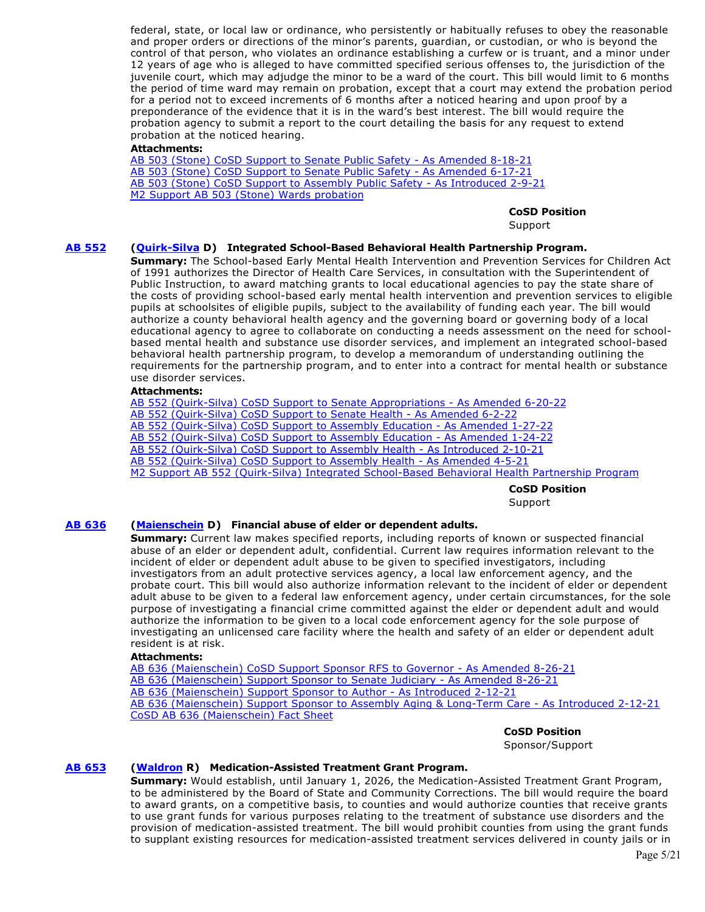federal, state, or local law or ordinance, who persistently or habitually refuses to obey the reasonable and proper orders or directions of the minor's parents, guardian, or custodian, or who is beyond the control of that person, who violates an ordinance establishing a curfew or is truant, and a minor under 12 years of age who is alleged to have committed specified serious offenses to, the jurisdiction of the juvenile court, which may adjudge the minor to be a ward of the court. This bill would limit to 6 months the period of time ward may remain on probation, except that a court may extend the probation period for a period not to exceed increments of 6 months after a noticed hearing and upon proof by a preponderance of the evidence that it is in the ward's best interest. The bill would require the probation agency to submit a report to the court detailing the basis for any request to extend probation at the noticed hearing.

#### **Attachments:**

[AB 503 \(Stone\) CoSD Support to Senate Public Safety - As Amended 8-18-21](https://ctweb.capitoltrack.com/public/publishviewdoc.ashx?di=BFbMoecwHUl9TZSmFHm0Zlie76yMRLd%2FqfAWI4iUkmE%3D) [AB 503 \(Stone\) CoSD Support to Senate Public Safety - As Amended 6-17-21](https://ctweb.capitoltrack.com/public/publishviewdoc.ashx?di=t0XjruG3yw%2Bu6yFHoyuCt0%2FJL5W%2B6129gRZdJfHA%2Bu0%3D) [AB 503 \(Stone\) CoSD Support to Assembly Public Safety - As Introduced 2-9-21](https://ctweb.capitoltrack.com/public/publishviewdoc.ashx?di=7tGtG0BBxBZlPkl4jEIFBowjQe08RZlR6Jh2zBC%2FcGU%3D) [M2 Support AB 503 \(Stone\) Wards probation](https://ctweb.capitoltrack.com/public/publishviewdoc.ashx?di=yHusbz3YCAXjD2Djz5TZJKgwKBoMzbwL9PgzrKaKI6w%3D)

**CoSD Position** 

Support

# **[AB 552](https://ctweb.capitoltrack.com/public/publishbillinfo.aspx?bi=2NTUporUUVBpsgnGN7fxW6tfA1W3lk7yrj7wTxcX0ln4ebQqenYgZtv9JIpQxZVN) [\(Quirk-Silva](https://a65.asmdc.org/) D) Integrated School-Based Behavioral Health Partnership Program.**

**Summary:** The School-based Early Mental Health Intervention and Prevention Services for Children Act of 1991 authorizes the Director of Health Care Services, in consultation with the Superintendent of Public Instruction, to award matching grants to local educational agencies to pay the state share of the costs of providing school-based early mental health intervention and prevention services to eligible pupils at schoolsites of eligible pupils, subject to the availability of funding each year. The bill would authorize a county behavioral health agency and the governing board or governing body of a local educational agency to agree to collaborate on conducting a needs assessment on the need for schoolbased mental health and substance use disorder services, and implement an integrated school-based behavioral health partnership program, to develop a memorandum of understanding outlining the requirements for the partnership program, and to enter into a contract for mental health or substance use disorder services.

# **Attachments:**

[AB 552 \(Quirk-Silva\) CoSD Support to Senate Appropriations - As Amended 6-20-22](https://ctweb.capitoltrack.com/public/publishviewdoc.ashx?di=HvpOoixAxkZCpeMup4OGGYjli1NJfap4SwZ6SIqsiBM%3D) [AB 552 \(Quirk-Silva\) CoSD Support to Senate Health - As Amended 6-2-22](https://ctweb.capitoltrack.com/public/publishviewdoc.ashx?di=HbP665Ykyyh7ManEaruuIZfykoGH1ztI00bQJrm1X9M%3D) [AB 552 \(Quirk-Silva\) CoSD Support to Assembly Education - As Amended 1-27-22](https://ctweb.capitoltrack.com/public/publishviewdoc.ashx?di=SesKs2q0TD%2B4sF47t8ywmxZ0ZKVqbYSYt9E8WHUEoH0%3D) [AB 552 \(Quirk-Silva\) CoSD Support to Assembly Education - As Amended 1-24-22](https://ctweb.capitoltrack.com/public/publishviewdoc.ashx?di=SesKs2q0TD%2B4sF47t8ywm6SCRw%2FvIVP63SpUjC793QA%3D) [AB 552 \(Quirk-Silva\) CoSD Support to Assembly Health - As Introduced 2-10-21](https://ctweb.capitoltrack.com/public/publishviewdoc.ashx?di=7tGtG0BBxBZlPkl4jEIFBgugZbo0wgh1oZIRLBetdXo%3D) [AB 552 \(Quirk-Silva\) CoSD Support to Assembly Health - As Amended 4-5-21](https://ctweb.capitoltrack.com/public/publishviewdoc.ashx?di=7tGtG0BBxBZlPkl4jEIFBsTptNYcLotkR0kzTUTINwU%3D) [M2 Support AB 552 \(Quirk-Silva\) Integrated School-Based Behavioral Health Partnership Program](https://ctweb.capitoltrack.com/public/publishviewdoc.ashx?di=7tGtG0BBxBZlPkl4jEIFBtlhSVZeLabMhkwxwKNl3R0%3D)

> **CoSD Position**  Support

# **[AB 636](https://ctweb.capitoltrack.com/public/publishbillinfo.aspx?bi=vRebL%2B92xjHiqyBVI0UP39ZX8235SIVVSPLgEZ6kBk3LothPia03X7yavmQTg9Gj) [\(Maienschein](https://a77.asmdc.org/) D) Financial abuse of elder or dependent adults.**

**Summary:** Current law makes specified reports, including reports of known or suspected financial abuse of an elder or dependent adult, confidential. Current law requires information relevant to the incident of elder or dependent adult abuse to be given to specified investigators, including investigators from an adult protective services agency, a local law enforcement agency, and the probate court. This bill would also authorize information relevant to the incident of elder or dependent adult abuse to be given to a federal law enforcement agency, under certain circumstances, for the sole purpose of investigating a financial crime committed against the elder or dependent adult and would authorize the information to be given to a local code enforcement agency for the sole purpose of investigating an unlicensed care facility where the health and safety of an elder or dependent adult resident is at risk.

#### **Attachments:**

[AB 636 \(Maienschein\) CoSD Support Sponsor RFS to Governor - As Amended 8-26-21](https://ctweb.capitoltrack.com/public/publishviewdoc.ashx?di=UyWGysVf%2BBsBlhm2K%2Fo9ogvcGZJyliPixy3pkfwkoWc%3D) [AB 636 \(Maienschein\) Support Sponsor to Senate Judiciary - As Amended 8-26-21](https://ctweb.capitoltrack.com/public/publishviewdoc.ashx?di=fSb6kyyUGWNnqaErcK3%2BIL4EqD7EPgiWN3cqopIRGpo%3D) [AB 636 \(Maienschein\) Support Sponsor to Author - As Introduced 2-12-21](https://ctweb.capitoltrack.com/public/publishviewdoc.ashx?di=4%2FKsz0z3G2zqrEa6IDqDO5ncPtzVoEP5C%2BOThDyuA5k%3D) [AB 636 \(Maienschein\) Support Sponsor to Assembly Aging & Long-Term Care - As Introduced 2-12-21](https://ctweb.capitoltrack.com/public/publishviewdoc.ashx?di=IWP9B5M5qT%2BlsW7YaeDIIgfzgHesNVtdcQUIPplOKRg%3D) [CoSD AB 636 \(Maienschein\) Fact Sheet](https://ctweb.capitoltrack.com/public/publishviewdoc.ashx?di=4%2FKsz0z3G2zqrEa6IDqDO3y9USgD%2Bl%2FWTRKD9jiqeoE%3D)

**CoSD Position** 

Sponsor/Support

# **[AB 653](https://ctweb.capitoltrack.com/public/publishbillinfo.aspx?bi=t6CyaI%2BzReI3xA1trHtJpTiQaW4xQXpPS3hpXXIe81K8s2uEB82fRl9HvUP7nJtV) [\(Waldron](https://ad75.asmrc.org/) R) Medication-Assisted Treatment Grant Program.**

**Summary:** Would establish, until January 1, 2026, the Medication-Assisted Treatment Grant Program, to be administered by the Board of State and Community Corrections. The bill would require the board to award grants, on a competitive basis, to counties and would authorize counties that receive grants to use grant funds for various purposes relating to the treatment of substance use disorders and the provision of medication-assisted treatment. The bill would prohibit counties from using the grant funds to supplant existing resources for medication-assisted treatment services delivered in county jails or in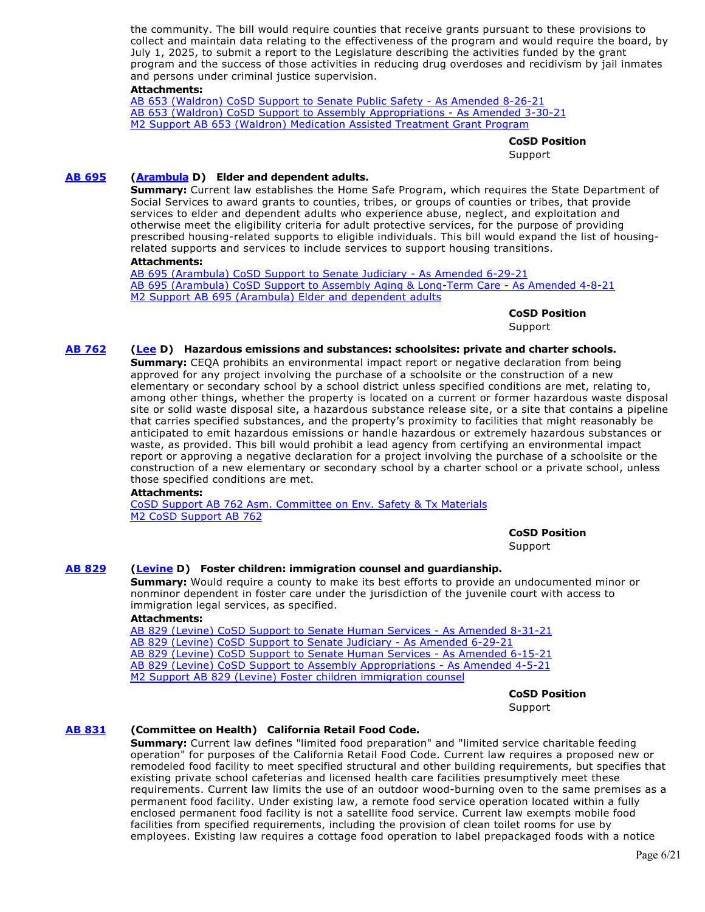the community. The bill would require counties that receive grants pursuant to these provisions to collect and maintain data relating to the effectiveness of the program and would require the board, by July 1, 2025, to submit a report to the Legislature describing the activities funded by the grant program and the success of those activities in reducing drug overdoses and recidivism by jail inmates and persons under criminal justice supervision.

### **Attachments:**

[AB 653 \(Waldron\) CoSD Support to Senate Public Safety - As Amended 8-26-21](https://ctweb.capitoltrack.com/public/publishviewdoc.ashx?di=fSb6kyyUGWNnqaErcK3%2BIAmTPUVP0zRJlxqgH%2FOZKKI%3D) [AB 653 \(Waldron\) CoSD Support to Assembly Appropriations - As Amended 3-30-21](https://ctweb.capitoltrack.com/public/publishviewdoc.ashx?di=7idH2nFK8F1FkxNxcByresua5bUCP9ZnHhD1ekh5AbA%3D) [M2 Support AB 653 \(Waldron\) Medication Assisted Treatment Grant Program](https://ctweb.capitoltrack.com/public/publishviewdoc.ashx?di=Wsx2cLBk6NMG5yeeGI7nzmT30bNvq23nUsjcya1PwgM%3D)

**CoSD Position** 

**Support** 

# **[AB 695](https://ctweb.capitoltrack.com/public/publishbillinfo.aspx?bi=JXOz%2BiRphFatF0pXu8MqhUg%2BHaoshCsv%2FuJTQVpVEST02V14aPZwC%2BFQGCvgLcKG) [\(Arambula](https://a31.asmdc.org/) D) Elder and dependent adults.**

**Summary:** Current law establishes the Home Safe Program, which requires the State Department of Social Services to award grants to counties, tribes, or groups of counties or tribes, that provide services to elder and dependent adults who experience abuse, neglect, and exploitation and otherwise meet the eligibility criteria for adult protective services, for the purpose of providing prescribed housing-related supports to eligible individuals. This bill would expand the list of housingrelated supports and services to include services to support housing transitions.

#### **Attachments:**

[AB 695 \(Arambula\) CoSD Support to Senate Judiciary - As Amended 6-29-21](https://ctweb.capitoltrack.com/public/publishviewdoc.ashx?di=yHusbz3YCAXjD2Djz5TZJBc0ahSosHPAP%2BZeXEE9v8c%3D) [AB 695 \(Arambula\) CoSD Support to Assembly Aging & Long-Term Care - As Amended 4-8-21](https://ctweb.capitoltrack.com/public/publishviewdoc.ashx?di=7tGtG0BBxBZlPkl4jEIFBmP41DQURP7VQB2%2BWcLTP%2Fs%3D) [M2 Support AB 695 \(Arambula\) Elder and dependent adults](https://ctweb.capitoltrack.com/public/publishviewdoc.ashx?di=K%2Bha7tqWm4EwaudXl0QDtZpmNm0W7577gfBh2t%2BuMlY%3D)

**CoSD Position** 

Support

# **[AB 762](https://ctweb.capitoltrack.com/public/publishbillinfo.aspx?bi=C1nCMicGmqsPWw0vx4o1GVFXp68FzuxRGMfuCxAD2lAqmG%2FZT3aKoEwhXDhr2%2Bcp) [\(Lee](https://a25.asmdc.org/) D) Hazardous emissions and substances: schoolsites: private and charter schools.**

**Summary:** CEQA prohibits an environmental impact report or negative declaration from being approved for any project involving the purchase of a schoolsite or the construction of a new elementary or secondary school by a school district unless specified conditions are met, relating to, among other things, whether the property is located on a current or former hazardous waste disposal site or solid waste disposal site, a hazardous substance release site, or a site that contains a pipeline that carries specified substances, and the property's proximity to facilities that might reasonably be anticipated to emit hazardous emissions or handle hazardous or extremely hazardous substances or waste, as provided. This bill would prohibit a lead agency from certifying an environmental impact report or approving a negative declaration for a project involving the purchase of a schoolsite or the construction of a new elementary or secondary school by a charter school or a private school, unless those specified conditions are met.

#### **Attachments:**

[CoSD Support AB 762 Asm. Committee on Env. Safety & Tx Materials](https://ctweb.capitoltrack.com/public/publishviewdoc.ashx?di=e7KJr7bYR3ocXJWsCQqt0VqAAJaChk6Da58knyA2DbM%3D) [M2 CoSD Support AB 762](https://ctweb.capitoltrack.com/public/publishviewdoc.ashx?di=dKOAfY5YH3xQRpWH5WZ7BWRS8qqzSZvMvCxpk17NVjs%3D)

**CoSD Position** 

Support

# **[AB 829](https://ctweb.capitoltrack.com/public/publishbillinfo.aspx?bi=BOxaRXK5gDMT6HWSxiTOgsZh5eyyIDYsyQ%2BIjmKFxHb0w5jUh4zQggjCsm0%2FFh73) [\(Levine](https://a10.asmdc.org/) D) Foster children: immigration counsel and guardianship.**

**Summary:** Would require a county to make its best efforts to provide an undocumented minor or nonminor dependent in foster care under the jurisdiction of the juvenile court with access to immigration legal services, as specified.

#### **Attachments:**

[AB 829 \(Levine\) CoSD Support to Senate Human Services - As Amended 8-31-21](https://ctweb.capitoltrack.com/public/publishviewdoc.ashx?di=e1tlse4uOSs2fkLZjyAXr0h3ka8DoaMOMiuTiQrFVPg%3D) [AB 829 \(Levine\) CoSD Support to Senate Judiciary - As Amended 6-29-21](https://ctweb.capitoltrack.com/public/publishviewdoc.ashx?di=wFquLa20%2BeDT2crgyIQfnShKIHbCQh2jIHtj5cM07Qc%3D) [AB 829 \(Levine\) CoSD Support to Senate Human Services - As Amended 6-15-21](https://ctweb.capitoltrack.com/public/publishviewdoc.ashx?di=KQALR%2BGWArvkXzPDPgBj6qxUgppHfuMt05h06%2FUXeB8%3D) [AB 829 \(Levine\) CoSD Support to Assembly Appropriations - As Amended 4-5-21](https://ctweb.capitoltrack.com/public/publishviewdoc.ashx?di=7tGtG0BBxBZlPkl4jEIFBrQFkpTRLAO1reuUPhs5cl4%3D) [M2 Support AB 829 \(Levine\) Foster children immigration counsel](https://ctweb.capitoltrack.com/public/publishviewdoc.ashx?di=7tGtG0BBxBZlPkl4jEIFBsziSgpVIGW8hOHazx%2B3w%2Fk%3D)

**CoSD Position** 

Support

# **[AB 831](https://ctweb.capitoltrack.com/public/publishbillinfo.aspx?bi=4cB285xAHRd2IN6itNBZmYWObiq0JF6lqgU9Xd3278q7P9xG9mtEvkDrY8Drzb%2Fd) (Committee on Health) California Retail Food Code.**

**Summary:** Current law defines "limited food preparation" and "limited service charitable feeding operation" for purposes of the California Retail Food Code. Current law requires a proposed new or remodeled food facility to meet specified structural and other building requirements, but specifies that existing private school cafeterias and licensed health care facilities presumptively meet these requirements. Current law limits the use of an outdoor wood-burning oven to the same premises as a permanent food facility. Under existing law, a remote food service operation located within a fully enclosed permanent food facility is not a satellite food service. Current law exempts mobile food facilities from specified requirements, including the provision of clean toilet rooms for use by employees. Existing law requires a cottage food operation to label prepackaged foods with a notice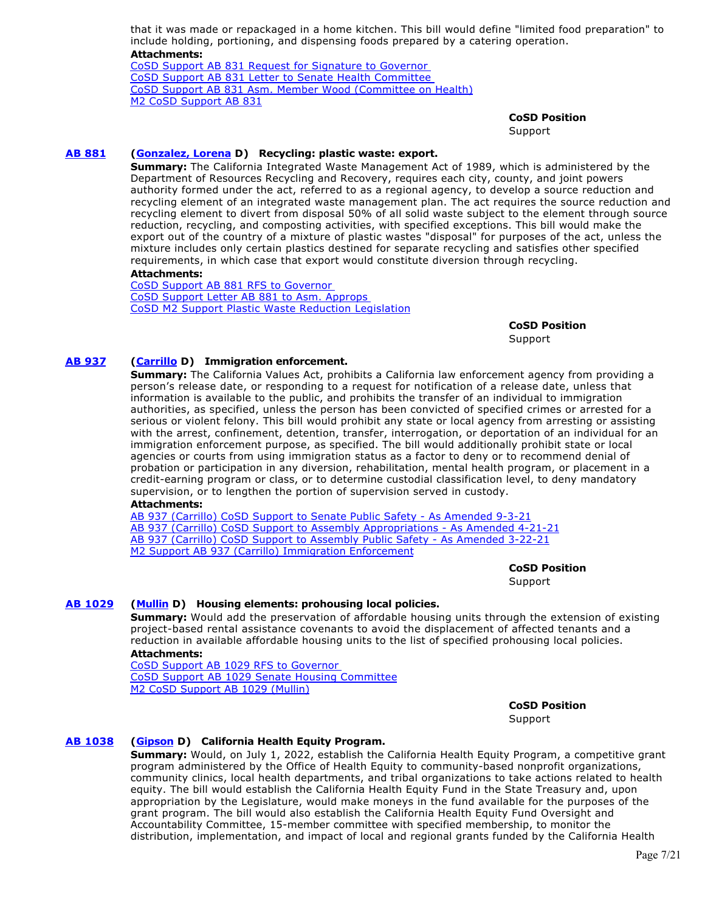that it was made or repackaged in a home kitchen. This bill would define "limited food preparation" to include holding, portioning, and dispensing foods prepared by a catering operation. **Attachments:**

[CoSD Support AB 831 Request for Signature to Governor](https://ctweb.capitoltrack.com/public/publishviewdoc.ashx?di=4ikkL7cb1GZZ5mmQoRd5ZZz1bJP33Eo0GPG21Zbxhc8%3D)  [CoSD Support AB 831 Letter to Senate Health Committee](https://ctweb.capitoltrack.com/public/publishviewdoc.ashx?di=JiONPqGPQf1fZZWtdBaQjiuhDfLOobW0c7wlBRjtwhE%3D)  [CoSD Support AB 831 Asm. Member Wood \(Committee on Health\)](https://ctweb.capitoltrack.com/public/publishviewdoc.ashx?di=e7KJr7bYR3ocXJWsCQqt0XPp72fLsAIMxqzElcZ%2FHMA%3D) [M2 CoSD Support AB 831](https://ctweb.capitoltrack.com/public/publishviewdoc.ashx?di=dKOAfY5YH3xQRpWH5WZ7Bdhl%2B5LKPpwhNkBjeEyG4SQ%3D)

**CoSD Position** 

**Support** 

# **[AB 881](https://ctweb.capitoltrack.com/public/publishbillinfo.aspx?bi=4Oy739RsQYCgpyt8holAtNkvHttPUPYjO5500%2Bv5OcPsJwFfBoDpwoW8rEimm7TF) [\(Gonzalez, Lorena](https://a80.asmdc.org/) D) Recycling: plastic waste: export.**

**Summary:** The California Integrated Waste Management Act of 1989, which is administered by the Department of Resources Recycling and Recovery, requires each city, county, and joint powers authority formed under the act, referred to as a regional agency, to develop a source reduction and recycling element of an integrated waste management plan. The act requires the source reduction and recycling element to divert from disposal 50% of all solid waste subject to the element through source reduction, recycling, and composting activities, with specified exceptions. This bill would make the export out of the country of a mixture of plastic wastes "disposal" for purposes of the act, unless the mixture includes only certain plastics destined for separate recycling and satisfies other specified requirements, in which case that export would constitute diversion through recycling.

#### **Attachments:**

[CoSD Support AB 881 RFS to Governor](https://ctweb.capitoltrack.com/public/publishviewdoc.ashx?di=6HNh%2FFU58oBE65Ahsn3LaCTaeVa1kGNpTmDwzassyeg%3D)  [CoSD Support Letter AB 881 to Asm. Approps](https://ctweb.capitoltrack.com/public/publishviewdoc.ashx?di=G8N30k4G8rE8YObkHnp7SUddE4iE7DtFS%2FqyeF0owLg%3D)  [CoSD M2 Support Plastic Waste Reduction Legislation](https://ctweb.capitoltrack.com/public/publishviewdoc.ashx?di=Fk5GURxMaDKHM0RVSv5UBaZACLuAUXbF1x2ldcTj4UI%3D)

**CoSD Position** 

Support

# **[AB 937](https://ctweb.capitoltrack.com/public/publishbillinfo.aspx?bi=i%2Bsl4rskKzhhxtkGrV2Et1VqNajTx3JPvtIgYzV8lP%2B%2FkFfC9SZptXv9kB%2FXWRnj) [\(Carrillo](https://a51.asmdc.org/) D) Immigration enforcement.**

**Summary:** The California Values Act, prohibits a California law enforcement agency from providing a person's release date, or responding to a request for notification of a release date, unless that information is available to the public, and prohibits the transfer of an individual to immigration authorities, as specified, unless the person has been convicted of specified crimes or arrested for a serious or violent felony. This bill would prohibit any state or local agency from arresting or assisting with the arrest, confinement, detention, transfer, interrogation, or deportation of an individual for an immigration enforcement purpose, as specified. The bill would additionally prohibit state or local agencies or courts from using immigration status as a factor to deny or to recommend denial of probation or participation in any diversion, rehabilitation, mental health program, or placement in a credit-earning program or class, or to determine custodial classification level, to deny mandatory supervision, or to lengthen the portion of supervision served in custody.

# **Attachments:**

[AB 937 \(Carrillo\) CoSD Support to Senate Public Safety - As Amended 9-3-21](https://ctweb.capitoltrack.com/public/publishviewdoc.ashx?di=cQjPv%2BYoy%2FG5060xub6hKgDJ9wDQw5HGZ7ZcTnwzQe0%3D) [AB 937 \(Carrillo\) CoSD Support to Assembly Appropriations - As Amended 4-21-21](https://ctweb.capitoltrack.com/public/publishviewdoc.ashx?di=Wsx2cLBk6NMG5yeeGI7nzk5vuHRl1EQcoWrNCvf2v18%3D) [AB 937 \(Carrillo\) CoSD Support to Assembly Public Safety - As Amended 3-22-21](https://ctweb.capitoltrack.com/public/publishviewdoc.ashx?di=7tGtG0BBxBZlPkl4jEIFBoSu9LPuhAzm9%2FuzUwwONWs%3D) [M2 Support AB 937 \(Carrillo\) Immigration Enforcement](https://ctweb.capitoltrack.com/public/publishviewdoc.ashx?di=gIprrEQIz7XXb3aQylWEgZhqudVLvWAjg%2FDrf56cw8Y%3D)

> **CoSD Position**  Support

# **[AB 1029](https://ctweb.capitoltrack.com/public/publishbillinfo.aspx?bi=3k592fMbiBowv2vj3k3OlVZ9SJnBlAt%2FL0nRJTHEbRxM%2BDmkFOxoN0QhHjgh7%2FaN) [\(Mullin](https://a22.asmdc.org/) D) Housing elements: prohousing local policies.**

**Summary:** Would add the preservation of affordable housing units through the extension of existing project-based rental assistance covenants to avoid the displacement of affected tenants and a reduction in available affordable housing units to the list of specified prohousing local policies. **Attachments:**

[CoSD Support AB 1029 RFS to Governor](https://ctweb.capitoltrack.com/public/publishviewdoc.ashx?di=6HNh%2FFU58oBE65Ahsn3LaH8TOlNUqJCNjQt4neB%2BMmo%3D)  [CoSD Support AB 1029 Senate Housing Committee](https://ctweb.capitoltrack.com/public/publishviewdoc.ashx?di=4OZzECjRHoPOWD%2BPgl5MuOXOUVPc2Kz1jkND0Cpowa0%3D) [M2 CoSD Support AB 1029 \(Mullin\)](https://ctweb.capitoltrack.com/public/publishviewdoc.ashx?di=KQALR%2BGWArvkXzPDPgBj6i%2Bc6%2Be5CFKQtqFle3Hw%2F6U%3D)

**CoSD Position** 

Support

# **[AB 1038](https://ctweb.capitoltrack.com/public/publishbillinfo.aspx?bi=IDDPB3XyIuXU4aL7Xg7jc8MJ9pm6X2kItXcf3PMP3bWAksh%2F4dF5hGh9A5e1n7P8) [\(Gipson](https://a64.asmdc.org/) D) California Health Equity Program.**

**Summary:** Would, on July 1, 2022, establish the California Health Equity Program, a competitive grant program administered by the Office of Health Equity to community-based nonprofit organizations, community clinics, local health departments, and tribal organizations to take actions related to health equity. The bill would establish the California Health Equity Fund in the State Treasury and, upon appropriation by the Legislature, would make moneys in the fund available for the purposes of the grant program. The bill would also establish the California Health Equity Fund Oversight and Accountability Committee, 15-member committee with specified membership, to monitor the distribution, implementation, and impact of local and regional grants funded by the California Health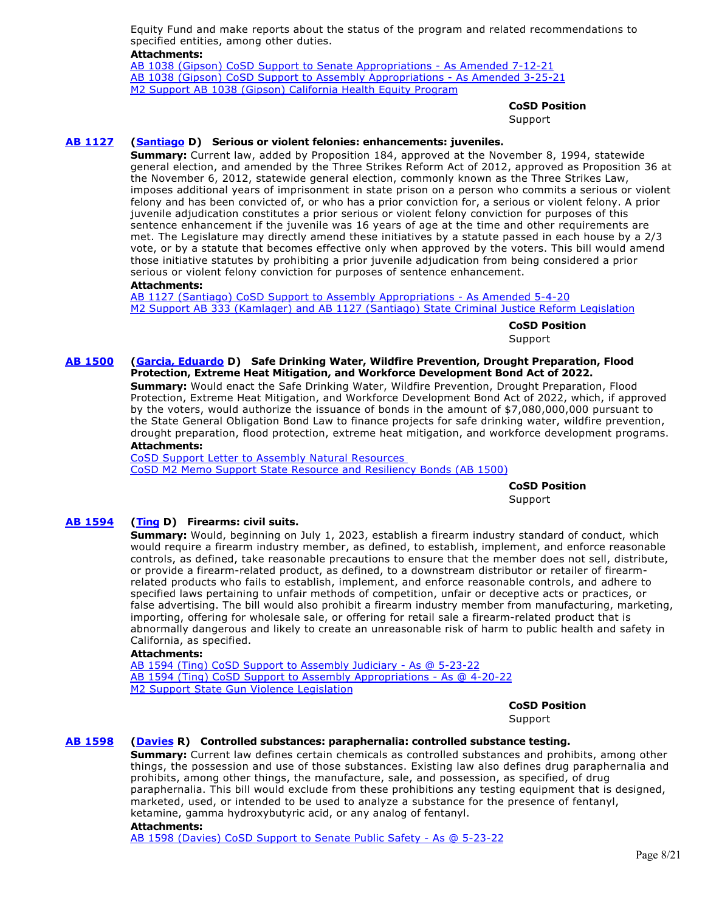Equity Fund and make reports about the status of the program and related recommendations to specified entities, among other duties.

#### **Attachments:**

[AB 1038 \(Gipson\) CoSD Support to Senate Appropriations - As Amended 7-12-21](https://ctweb.capitoltrack.com/public/publishviewdoc.ashx?di=TO5Mf6sZBGkMIX6fBgV4bxvKFvmCWzavDItNbh5Jp20%3D) [AB 1038 \(Gipson\) CoSD Support to Assembly Appropriations - As Amended 3-25-21](https://ctweb.capitoltrack.com/public/publishviewdoc.ashx?di=7idH2nFK8F1FkxNxcByrevloYGzSAWZXWAIjECqY180%3D) [M2 Support AB 1038 \(Gipson\) California Health Equity Program](https://ctweb.capitoltrack.com/public/publishviewdoc.ashx?di=Wsx2cLBk6NMG5yeeGI7nzi04OMU5CF2NeJmQ9NlpRGw%3D)

#### **CoSD Position**

Support

# **[AB 1127](https://ctweb.capitoltrack.com/public/publishbillinfo.aspx?bi=%2FHbv5rYuu4bzEE0pLsxqCnp9rAEvs9HeUfgNsJrHAVW%2BdRf5UXEMKgfSkrCG3kgu) [\(Santiago](https://a53.asmdc.org/) D) Serious or violent felonies: enhancements: juveniles.**

**Summary:** Current law, added by Proposition 184, approved at the November 8, 1994, statewide general election, and amended by the Three Strikes Reform Act of 2012, approved as Proposition 36 at the November 6, 2012, statewide general election, commonly known as the Three Strikes Law, imposes additional years of imprisonment in state prison on a person who commits a serious or violent felony and has been convicted of, or who has a prior conviction for, a serious or violent felony. A prior juvenile adjudication constitutes a prior serious or violent felony conviction for purposes of this sentence enhancement if the juvenile was 16 years of age at the time and other requirements are met. The Legislature may directly amend these initiatives by a statute passed in each house by a 2/3 vote, or by a statute that becomes effective only when approved by the voters. This bill would amend those initiative statutes by prohibiting a prior juvenile adjudication from being considered a prior serious or violent felony conviction for purposes of sentence enhancement.

#### **Attachments:**

[AB 1127 \(Santiago\) CoSD Support to Assembly Appropriations - As Amended 5-4-20](https://ctweb.capitoltrack.com/public/publishviewdoc.ashx?di=5RuOWQAdI5TbzC9i1uiThBSnkADpR43uKkRPLbx2XG0%3D) [M2 Support AB 333 \(Kamlager\) and AB 1127 \(Santiago\) State Criminal Justice Reform Legislation](https://ctweb.capitoltrack.com/public/publishviewdoc.ashx?di=jkdSb85pORxxd9K4v9p%2F4lMdzAm%2BpaxXUIYwTonnCg4%3D)

> **CoSD Position**  Support

#### **[AB 1500](https://ctweb.capitoltrack.com/public/publishbillinfo.aspx?bi=CjiHQdQ8M2561ytQmIJz6eEBvf2pvK79Z9It8cyxx%2Bcz%2Fy7ag2QyFqHxPe0HoKiH) [\(Garcia, Eduardo](https://a56.asmdc.org/) D) Safe Drinking Water, Wildfire Prevention, Drought Preparation, Flood Protection, Extreme Heat Mitigation, and Workforce Development Bond Act of 2022.**

**Summary:** Would enact the Safe Drinking Water, Wildfire Prevention, Drought Preparation, Flood Protection, Extreme Heat Mitigation, and Workforce Development Bond Act of 2022, which, if approved by the voters, would authorize the issuance of bonds in the amount of \$7,080,000,000 pursuant to the State General Obligation Bond Law to finance projects for safe drinking water, wildfire prevention, drought preparation, flood protection, extreme heat mitigation, and workforce development programs. **Attachments:**

[CoSD Support Letter to Assembly Natural Resources](https://ctweb.capitoltrack.com/public/publishviewdoc.ashx?di=DUKFf9MC%2FfPnyojaKU549NlsG1IPpYaHvxHfc%2B%2Fogic%3D)  [CoSD M2 Memo Support State Resource and Resiliency Bonds \(AB 1500\)](https://ctweb.capitoltrack.com/public/publishviewdoc.ashx?di=ap71NUuKC9xgb3027JcNcvkaFjEYC0MKKlaT6v0%2B8iE%3D)

**CoSD Position** 

Support

# **[AB 1594](https://ctweb.capitoltrack.com/public/publishbillinfo.aspx?bi=wmJlTtgUGqPIA1%2FuA2lLDodarDjAo3gzDCGvKagwmgD5CkAE4YblK0WfQij2MUq8) [\(Ting](https://a19.asmdc.org/) D) Firearms: civil suits.**

**Summary:** Would, beginning on July 1, 2023, establish a firearm industry standard of conduct, which would require a firearm industry member, as defined, to establish, implement, and enforce reasonable controls, as defined, take reasonable precautions to ensure that the member does not sell, distribute, or provide a firearm-related product, as defined, to a downstream distributor or retailer of firearmrelated products who fails to establish, implement, and enforce reasonable controls, and adhere to specified laws pertaining to unfair methods of competition, unfair or deceptive acts or practices, or false advertising. The bill would also prohibit a firearm industry member from manufacturing, marketing, importing, offering for wholesale sale, or offering for retail sale a firearm-related product that is abnormally dangerous and likely to create an unreasonable risk of harm to public health and safety in California, as specified.

#### **Attachments:**

[AB 1594 \(Ting\) CoSD Support to Assembly Judiciary - As @ 5-23-22](https://ctweb.capitoltrack.com/public/publishviewdoc.ashx?di=doiPWNstzzy1q30AbChmPuV4%2FGOek6x1h%2BWUB1LB1i0%3D) [AB 1594 \(Ting\) CoSD Support to Assembly Appropriations - As @ 4-20-22](https://ctweb.capitoltrack.com/public/publishviewdoc.ashx?di=dk2cOjgLcbW0twq%2Bh2dz53twqMz%2Bpn2Rcl%2BAe%2Fk6BVg%3D) [M2 Support State Gun Violence Legislation](https://ctweb.capitoltrack.com/public/publishviewdoc.ashx?di=dk2cOjgLcbW0twq%2Bh2dz560fD6wPqW4ssiz3bzSEGS8%3D)

**CoSD Position** 

Support

# **[AB 1598](https://ctweb.capitoltrack.com/public/publishbillinfo.aspx?bi=injG7P8RIKYnrAFrlVuet9onThpwlG7la8cXRV0PjDRf3pR1YNCeRgv4gHogMjtT) [\(Davies](http://ad73.asmrc.org/) R) Controlled substances: paraphernalia: controlled substance testing.**

**Summary:** Current law defines certain chemicals as controlled substances and prohibits, among other things, the possession and use of those substances. Existing law also defines drug paraphernalia and prohibits, among other things, the manufacture, sale, and possession, as specified, of drug paraphernalia. This bill would exclude from these prohibitions any testing equipment that is designed, marketed, used, or intended to be used to analyze a substance for the presence of fentanyl, ketamine, gamma hydroxybutyric acid, or any analog of fentanyl.

#### **Attachments:**

[AB 1598 \(Davies\) CoSD Support to Senate Public Safety - As @ 5-23-22](https://ctweb.capitoltrack.com/public/publishviewdoc.ashx?di=doiPWNstzzy1q30AbChmPrG2V955Dk7AJiDFEzTxoko%3D)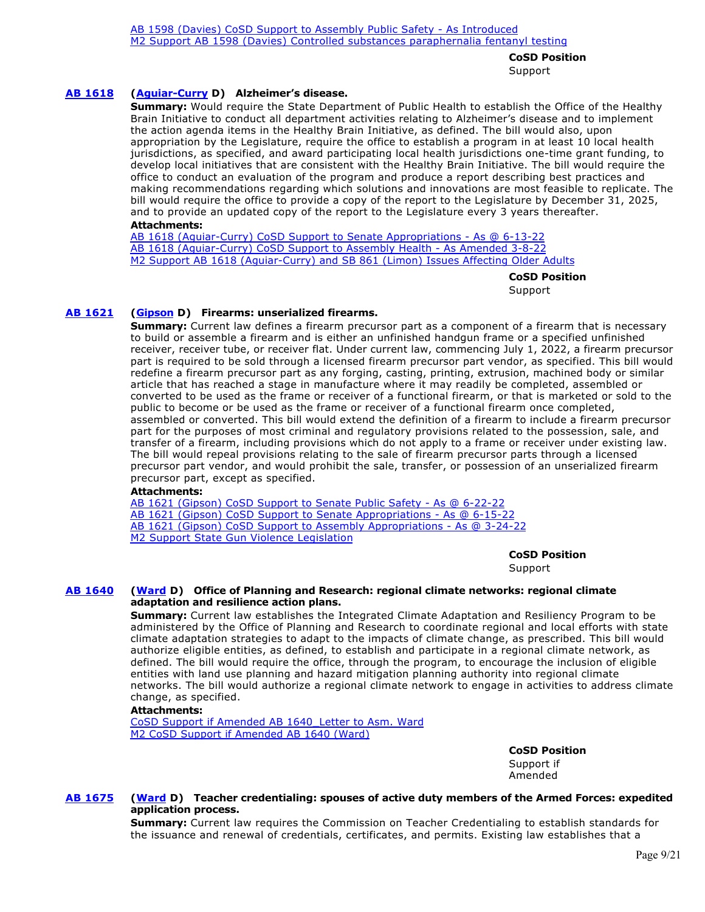**CoSD Position** 

Support

# **[AB 1618](https://ctweb.capitoltrack.com/public/publishbillinfo.aspx?bi=UP%2FCSzJnvS10XeeDdfkwQsL0RakYS1OXSyjVARI2rydWnM3QlkjuKU3DPWuyBGYe) [\(Aguiar-Curry](https://a04.asmdc.org/) D) Alzheimer's disease.**

**Summary:** Would require the State Department of Public Health to establish the Office of the Healthy Brain Initiative to conduct all department activities relating to Alzheimer's disease and to implement the action agenda items in the Healthy Brain Initiative, as defined. The bill would also, upon appropriation by the Legislature, require the office to establish a program in at least 10 local health jurisdictions, as specified, and award participating local health jurisdictions one-time grant funding, to develop local initiatives that are consistent with the Healthy Brain Initiative. The bill would require the office to conduct an evaluation of the program and produce a report describing best practices and making recommendations regarding which solutions and innovations are most feasible to replicate. The bill would require the office to provide a copy of the report to the Legislature by December 31, 2025, and to provide an updated copy of the report to the Legislature every 3 years thereafter.

#### **Attachments:**

[AB 1618 \(Aguiar-Curry\) CoSD Support to Senate Appropriations - As @ 6-13-22](https://ctweb.capitoltrack.com/public/publishviewdoc.ashx?di=hsDT15%2FPdaU1%2FSmkF8vv%2BsKrMBAnJQr5YJXsMlT8Hl4%3D) [AB 1618 \(Aguiar-Curry\) CoSD Support to Assembly Health - As Amended 3-8-22](https://ctweb.capitoltrack.com/public/publishviewdoc.ashx?di=zL%2Fn%2BQ2FQmZFdaWfTjHIypNw1QOmDUzyD8XbBXk5MiI%3D) [M2 Support AB 1618 \(Aguiar-Curry\) and SB 861 \(Limon\) Issues Affecting Older Adults](https://ctweb.capitoltrack.com/public/publishviewdoc.ashx?di=zL%2Fn%2BQ2FQmZFdaWfTjHIynBgh9b8a2BcrVIf0QSDiYk%3D)

**CoSD Position** 

Support

# **[AB 1621](https://ctweb.capitoltrack.com/public/publishbillinfo.aspx?bi=6jESKqjDpw7fkBH23Aya9dW8GNUUWUQ0N34F8SvtTk3LY29%2BXChT%2B%2B9FOq69fwNx) [\(Gipson](https://a64.asmdc.org/) D) Firearms: unserialized firearms.**

**Summary:** Current law defines a firearm precursor part as a component of a firearm that is necessary to build or assemble a firearm and is either an unfinished handgun frame or a specified unfinished receiver, receiver tube, or receiver flat. Under current law, commencing July 1, 2022, a firearm precursor part is required to be sold through a licensed firearm precursor part vendor, as specified. This bill would redefine a firearm precursor part as any forging, casting, printing, extrusion, machined body or similar article that has reached a stage in manufacture where it may readily be completed, assembled or converted to be used as the frame or receiver of a functional firearm, or that is marketed or sold to the public to become or be used as the frame or receiver of a functional firearm once completed, assembled or converted. This bill would extend the definition of a firearm to include a firearm precursor part for the purposes of most criminal and regulatory provisions related to the possession, sale, and transfer of a firearm, including provisions which do not apply to a frame or receiver under existing law. The bill would repeal provisions relating to the sale of firearm precursor parts through a licensed precursor part vendor, and would prohibit the sale, transfer, or possession of an unserialized firearm precursor part, except as specified.

#### **Attachments:**

[AB 1621 \(Gipson\) CoSD Support to Senate Public Safety - As @ 6-22-22](https://ctweb.capitoltrack.com/public/publishviewdoc.ashx?di=00nl8pGX4oCOpd3V6g4l5BMYm30NQQepsG%2FpGal0QPU%3D) [AB 1621 \(Gipson\) CoSD Support to Senate Appropriations - As @ 6-15-22](https://ctweb.capitoltrack.com/public/publishviewdoc.ashx?di=ZppYl7SozKd6%2BtTAFkbXoadHluA%2BHw6T3KM%2B5wGWlo8%3D) [AB 1621 \(Gipson\) CoSD Support to Assembly Appropriations - As @ 3-24-22](https://ctweb.capitoltrack.com/public/publishviewdoc.ashx?di=dk2cOjgLcbW0twq%2Bh2dz5%2B0%2BkqpHK6nEbOu0Fm9vXXk%3D) [M2 Support State Gun Violence Legislation](https://ctweb.capitoltrack.com/public/publishviewdoc.ashx?di=dk2cOjgLcbW0twq%2Bh2dz57bNKBCSADTMEjk3Z0fjrNI%3D)

**CoSD Position** 

Support

# **[AB 1640](https://ctweb.capitoltrack.com/public/publishbillinfo.aspx?bi=qHqoiquMddgbRN7m4Rq%2F2C7n9TFX8HbGe4f56W2xY9ia1gNcgkmdI2i1pOZC8ZrX) [\(Ward](https://a78.asmdc.org/) D) Office of Planning and Research: regional climate networks: regional climate adaptation and resilience action plans.**

**Summary:** Current law establishes the Integrated Climate Adaptation and Resiliency Program to be administered by the Office of Planning and Research to coordinate regional and local efforts with state climate adaptation strategies to adapt to the impacts of climate change, as prescribed. This bill would authorize eligible entities, as defined, to establish and participate in a regional climate network, as defined. The bill would require the office, through the program, to encourage the inclusion of eligible entities with land use planning and hazard mitigation planning authority into regional climate networks. The bill would authorize a regional climate network to engage in activities to address climate change, as specified.

#### **Attachments:**

[CoSD Support if Amended AB 1640\\_Letter to Asm. Ward](https://ctweb.capitoltrack.com/public/publishviewdoc.ashx?di=HvpOoixAxkZCpeMup4OGGTfUeFaa8ssBD%2B27e8T1nTw%3D) [M2 CoSD Support if Amended AB 1640 \(Ward\)](https://ctweb.capitoltrack.com/public/publishviewdoc.ashx?di=8toPknQ3nERdNX2PJGpu99lNoypoIkcMBwO4cW7ShQo%3D)

> **CoSD Position**  Support if

Amended

# **[AB 1675](https://ctweb.capitoltrack.com/public/publishbillinfo.aspx?bi=5sc8O%2FzkkdGvCarqHpxaB3IAbMK5jHuNTtSXX4U9mIi9G8R5egQ8sSoQCU1iXpkZ) [\(Ward](https://a78.asmdc.org/) D) Teacher credentialing: spouses of active duty members of the Armed Forces: expedited application process.**

**Summary:** Current law requires the Commission on Teacher Credentialing to establish standards for the issuance and renewal of credentials, certificates, and permits. Existing law establishes that a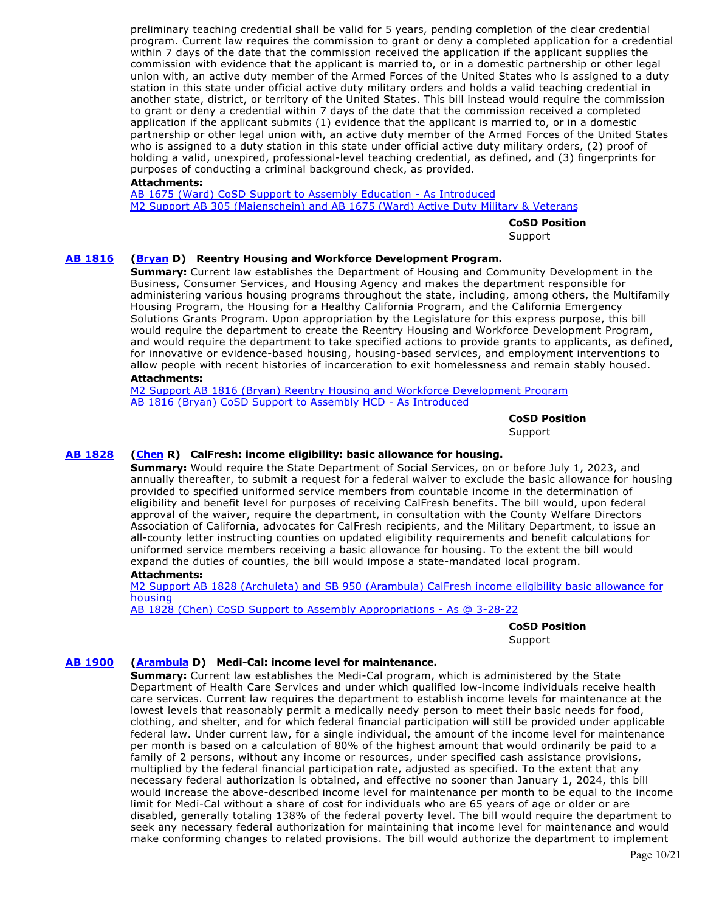preliminary teaching credential shall be valid for 5 years, pending completion of the clear credential program. Current law requires the commission to grant or deny a completed application for a credential within 7 days of the date that the commission received the application if the applicant supplies the commission with evidence that the applicant is married to, or in a domestic partnership or other legal union with, an active duty member of the Armed Forces of the United States who is assigned to a duty station in this state under official active duty military orders and holds a valid teaching credential in another state, district, or territory of the United States. This bill instead would require the commission to grant or deny a credential within 7 days of the date that the commission received a completed application if the applicant submits (1) evidence that the applicant is married to, or in a domestic partnership or other legal union with, an active duty member of the Armed Forces of the United States who is assigned to a duty station in this state under official active duty military orders, (2) proof of holding a valid, unexpired, professional-level teaching credential, as defined, and (3) fingerprints for purposes of conducting a criminal background check, as provided.

# **Attachments:**

[AB 1675 \(Ward\) CoSD Support to Assembly Education - As Introduced](https://ctweb.capitoltrack.com/public/publishviewdoc.ashx?di=zL%2Fn%2BQ2FQmZFdaWfTjHIyuX869s3sJgmQo7QVazBZG4%3D) [M2 Support AB 305 \(Maienschein\) and AB 1675 \(Ward\) Active Duty Military & Veterans](https://ctweb.capitoltrack.com/public/publishviewdoc.ashx?di=zL%2Fn%2BQ2FQmZFdaWfTjHIyvGs9JEc8s681T7ImdhSVjY%3D)

**CoSD Position** 

Support

# **[AB 1816](https://ctweb.capitoltrack.com/public/publishbillinfo.aspx?bi=D3XDMuBg%2BkiJaE5u1ovqBQX8Z6ORmHbGt2xwEwe5yoncA3CFeBxbKRhUSP%2FzVEeK) [\(Bryan](https://a54.asmdc.org/) D) Reentry Housing and Workforce Development Program.**

**Summary:** Current law establishes the Department of Housing and Community Development in the Business, Consumer Services, and Housing Agency and makes the department responsible for administering various housing programs throughout the state, including, among others, the Multifamily Housing Program, the Housing for a Healthy California Program, and the California Emergency Solutions Grants Program. Upon appropriation by the Legislature for this express purpose, this bill would require the department to create the Reentry Housing and Workforce Development Program, and would require the department to take specified actions to provide grants to applicants, as defined, for innovative or evidence-based housing, housing-based services, and employment interventions to allow people with recent histories of incarceration to exit homelessness and remain stably housed.

# **Attachments:**

[M2 Support AB 1816 \(Bryan\) Reentry Housing and Workforce Development Program](https://ctweb.capitoltrack.com/public/publishviewdoc.ashx?di=zL%2Fn%2BQ2FQmZFdaWfTjHIyqJhNKUSa4c4IHkyglhA3Zc%3D) [AB 1816 \(Bryan\) CoSD Support to Assembly HCD - As Introduced](https://ctweb.capitoltrack.com/public/publishviewdoc.ashx?di=zL%2Fn%2BQ2FQmZFdaWfTjHIyjmwOgw1jb5ZHCarBPAr3V4%3D)

**CoSD Position** 

Support

#### **[AB 1828](https://ctweb.capitoltrack.com/public/publishbillinfo.aspx?bi=76zhDgQOdVKImKXX%2BPtXJo3JkGAI8w6%2B97VeywLcQwj5lgAhJvQT%2F%2FdIj63unwL9) [\(Chen](https://ad55.asmrc.org/) R) CalFresh: income eligibility: basic allowance for housing.**

**Summary:** Would require the State Department of Social Services, on or before July 1, 2023, and annually thereafter, to submit a request for a federal waiver to exclude the basic allowance for housing provided to specified uniformed service members from countable income in the determination of eligibility and benefit level for purposes of receiving CalFresh benefits. The bill would, upon federal approval of the waiver, require the department, in consultation with the County Welfare Directors Association of California, advocates for CalFresh recipients, and the Military Department, to issue an all-county letter instructing counties on updated eligibility requirements and benefit calculations for uniformed service members receiving a basic allowance for housing. To the extent the bill would expand the duties of counties, the bill would impose a state-mandated local program.

# **Attachments:**

[M2 Support AB 1828 \(Archuleta\) and SB 950 \(Arambula\) CalFresh income eligibility basic allowance for](https://ctweb.capitoltrack.com/public/publishviewdoc.ashx?di=gNcqoaPKVNh584PFFMymm5pOHgu9MwaNTrp7DBB5gWI%3D) **housing** 

[AB 1828 \(Chen\) CoSD Support to Assembly Appropriations - As @ 3-28-22](https://ctweb.capitoltrack.com/public/publishviewdoc.ashx?di=gNcqoaPKVNh584PFFMymm%2FKlqOiKBWDia9yYdI6LvXw%3D)

**CoSD Position**  Support

#### **[AB 1900](https://ctweb.capitoltrack.com/public/publishbillinfo.aspx?bi=iPlV30JVOckWVN8KDSuiaBOFZIyqz5zE2c%2FJw7TXyTadsBKpIw0rr0w0mamPqpdi) [\(Arambula](https://a31.asmdc.org/) D) Medi-Cal: income level for maintenance.**

**Summary:** Current law establishes the Medi-Cal program, which is administered by the State Department of Health Care Services and under which qualified low-income individuals receive health care services. Current law requires the department to establish income levels for maintenance at the lowest levels that reasonably permit a medically needy person to meet their basic needs for food, clothing, and shelter, and for which federal financial participation will still be provided under applicable federal law. Under current law, for a single individual, the amount of the income level for maintenance per month is based on a calculation of 80% of the highest amount that would ordinarily be paid to a family of 2 persons, without any income or resources, under specified cash assistance provisions, multiplied by the federal financial participation rate, adjusted as specified. To the extent that any necessary federal authorization is obtained, and effective no sooner than January 1, 2024, this bill would increase the above-described income level for maintenance per month to be equal to the income limit for Medi-Cal without a share of cost for individuals who are 65 years of age or older or are disabled, generally totaling 138% of the federal poverty level. The bill would require the department to seek any necessary federal authorization for maintaining that income level for maintenance and would make conforming changes to related provisions. The bill would authorize the department to implement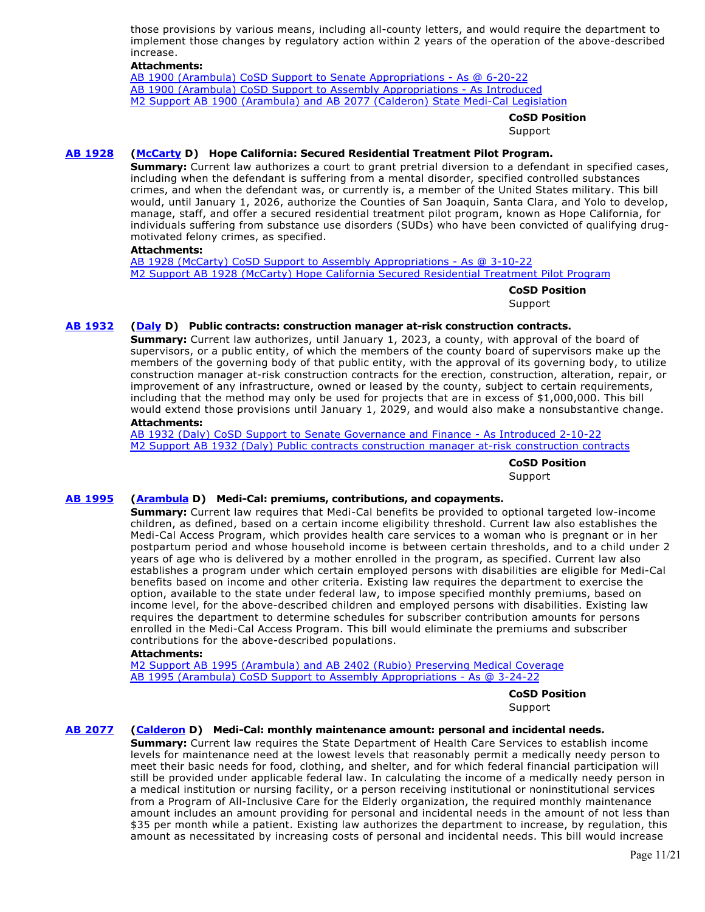those provisions by various means, including all-county letters, and would require the department to implement those changes by regulatory action within 2 years of the operation of the above-described increase.

#### **Attachments:**

[AB 1900 \(Arambula\) CoSD Support to Senate Appropriations - As @ 6-20-22](https://ctweb.capitoltrack.com/public/publishviewdoc.ashx?di=HvpOoixAxkZCpeMup4OGGZz5nC0gsTrc3JrU%2B5LTMMo%3D) [AB 1900 \(Arambula\) CoSD Support to Assembly Appropriations - As Introduced](https://ctweb.capitoltrack.com/public/publishviewdoc.ashx?di=ProOyGINQ2SH33vnmXYZRFkxZYCwvwAunRz7srCosmg%3D) [M2 Support AB 1900 \(Arambula\) and AB 2077 \(Calderon\) State Medi-Cal Legislation](https://ctweb.capitoltrack.com/public/publishviewdoc.ashx?di=2B74Y50euxz5mMBaxshBoDnUjxI4EKDBDSHrIgtwNQU%3D)

#### **CoSD Position**

**Support** 

# **[AB 1928](https://ctweb.capitoltrack.com/public/publishbillinfo.aspx?bi=TVa3e8kBS4UtjAC8WLaLbGgjoKLvA7aTJwRM7MoOlw5nfgNnT7gI%2FKOuu9cND19t) [\(McCarty](https://a07.asmdc.org/) D) Hope California: Secured Residential Treatment Pilot Program.**

**Summary:** Current law authorizes a court to grant pretrial diversion to a defendant in specified cases, including when the defendant is suffering from a mental disorder, specified controlled substances crimes, and when the defendant was, or currently is, a member of the United States military. This bill would, until January 1, 2026, authorize the Counties of San Joaquin, Santa Clara, and Yolo to develop, manage, staff, and offer a secured residential treatment pilot program, known as Hope California, for individuals suffering from substance use disorders (SUDs) who have been convicted of qualifying drugmotivated felony crimes, as specified.

# **Attachments:**

[AB 1928 \(McCarty\) CoSD Support to Assembly Appropriations - As @ 3-10-22](https://ctweb.capitoltrack.com/public/publishviewdoc.ashx?di=rpw8xmuFTHiifujD2xE25UP7eU7xy%2BGYiBt041ctBI4%3D) [M2 Support AB 1928 \(McCarty\) Hope California Secured Residential Treatment Pilot Program](https://ctweb.capitoltrack.com/public/publishviewdoc.ashx?di=y6O%2FhLgk8p4wCcwbKn%2B2CtkI3snS3nxMT6VFHwYzRcw%3D)

**CoSD Position** 

Support

# **[AB 1932](https://ctweb.capitoltrack.com/public/publishbillinfo.aspx?bi=QCdm%2BYAlPbm1mWJnGnKr%2Bp5kDlWJ7xdEsF5Z8uz5qfbkDoCsvTBNBJJNceCbCFOi) [\(Daly](https://a69.asmdc.org/) D) Public contracts: construction manager at-risk construction contracts.**

**Summary:** Current law authorizes, until January 1, 2023, a county, with approval of the board of supervisors, or a public entity, of which the members of the county board of supervisors make up the members of the governing body of that public entity, with the approval of its governing body, to utilize construction manager at-risk construction contracts for the erection, construction, alteration, repair, or improvement of any infrastructure, owned or leased by the county, subject to certain requirements, including that the method may only be used for projects that are in excess of \$1,000,000. This bill would extend those provisions until January 1, 2029, and would also make a nonsubstantive change. **Attachments:**

[AB 1932 \(Daly\) CoSD Support to Senate Governance and Finance - As Introduced 2-10-22](https://ctweb.capitoltrack.com/public/publishviewdoc.ashx?di=k1LWX3Kz%2FofleT7ulS%2FccpAgGa4rTIPMJvQOXNDxbzw%3D) [M2 Support AB 1932 \(Daly\) Public contracts construction manager at-risk construction contracts](https://ctweb.capitoltrack.com/public/publishviewdoc.ashx?di=BVl78kp1f%2FeQNzo9Vc%2F2c8n28UXWXrt%2FAGI8TaRzGPM%3D)

**CoSD Position** 

Support

# **[AB 1995](https://ctweb.capitoltrack.com/public/publishbillinfo.aspx?bi=AXAFmqc6TXFGhXuTcHwXcyS3thfnfvYMnVrdkAy3M%2BfrYCJ3L8L0F8WY3O%2FCoEYn) [\(Arambula](https://a31.asmdc.org/) D) Medi-Cal: premiums, contributions, and copayments.**

**Summary:** Current law requires that Medi-Cal benefits be provided to optional targeted low-income children, as defined, based on a certain income eligibility threshold. Current law also establishes the Medi-Cal Access Program, which provides health care services to a woman who is pregnant or in her postpartum period and whose household income is between certain thresholds, and to a child under 2 years of age who is delivered by a mother enrolled in the program, as specified. Current law also establishes a program under which certain employed persons with disabilities are eligible for Medi-Cal benefits based on income and other criteria. Existing law requires the department to exercise the option, available to the state under federal law, to impose specified monthly premiums, based on income level, for the above-described children and employed persons with disabilities. Existing law requires the department to determine schedules for subscriber contribution amounts for persons enrolled in the Medi-Cal Access Program. This bill would eliminate the premiums and subscriber contributions for the above-described populations.

#### **Attachments:**

[M2 Support AB 1995 \(Arambula\) and AB 2402 \(Rubio\) Preserving Medical Coverage](https://ctweb.capitoltrack.com/public/publishviewdoc.ashx?di=gNcqoaPKVNh584PFFMymm2PRyssRbjTZ%2BqHs2qTMGm4%3D) [AB 1995 \(Arambula\) CoSD Support to Assembly Appropriations - As @ 3-24-22](https://ctweb.capitoltrack.com/public/publishviewdoc.ashx?di=gNcqoaPKVNh584PFFMymm%2F8zTv1%2Fq0p5TiI2KbciXPA%3D)

**CoSD Position** 

Support

# **[AB 2077](https://ctweb.capitoltrack.com/public/publishbillinfo.aspx?bi=Ke%2FEg%2BvV5F4upTPUsEBul0incoPIxDyMN73EliW8LRlNzqV5awnxAonkzrVGYSez) [\(Calderon](https://a57.asmdc.org/) D) Medi-Cal: monthly maintenance amount: personal and incidental needs.**

**Summary:** Current law requires the State Department of Health Care Services to establish income levels for maintenance need at the lowest levels that reasonably permit a medically needy person to meet their basic needs for food, clothing, and shelter, and for which federal financial participation will still be provided under applicable federal law. In calculating the income of a medically needy person in a medical institution or nursing facility, or a person receiving institutional or noninstitutional services from a Program of All-Inclusive Care for the Elderly organization, the required monthly maintenance amount includes an amount providing for personal and incidental needs in the amount of not less than \$35 per month while a patient. Existing law authorizes the department to increase, by regulation, this amount as necessitated by increasing costs of personal and incidental needs. This bill would increase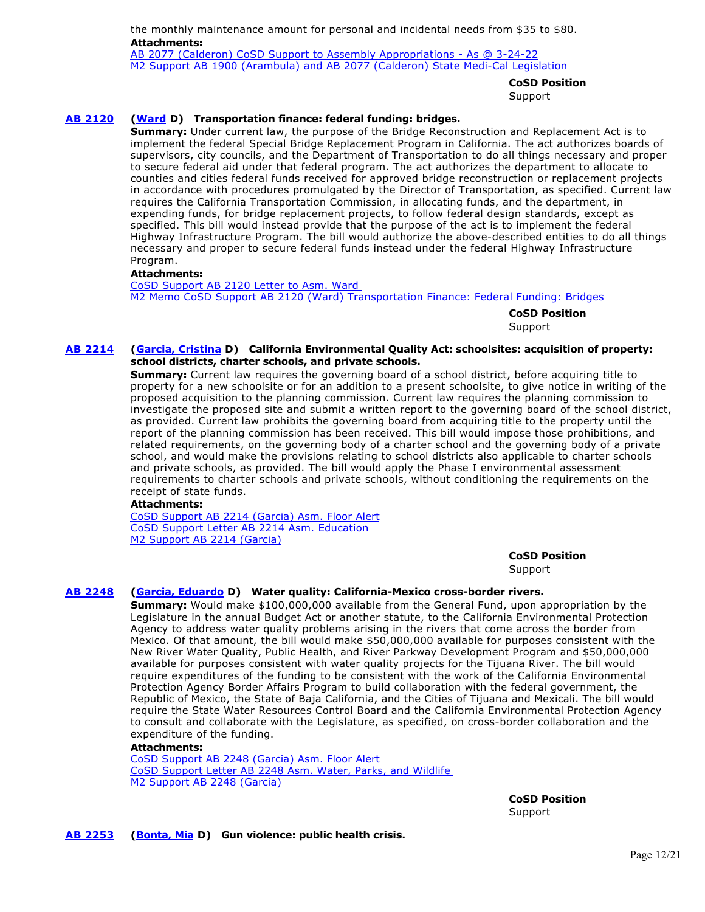the monthly maintenance amount for personal and incidental needs from \$35 to \$80. **Attachments:** [AB 2077 \(Calderon\) CoSD Support to Assembly Appropriations - As @ 3-24-22](https://ctweb.capitoltrack.com/public/publishviewdoc.ashx?di=ProOyGINQ2SH33vnmXYZRMC5Nv80D0sl4LjBrDGQKGM%3D) [M2 Support AB 1900 \(Arambula\) and AB 2077 \(Calderon\) State Medi-Cal Legislation](https://ctweb.capitoltrack.com/public/publishviewdoc.ashx?di=2B74Y50euxz5mMBaxshBoGYMjxm61kc9mB1knlDpIoU%3D)

**CoSD Position** 

Support

# **[AB 2120](https://ctweb.capitoltrack.com/public/publishbillinfo.aspx?bi=HKddcfrcmMUau9XVpkjA7%2FFTO3UKJ0thpfRXA5F0GVr%2Bvxg88pjUqRiG7JqwjcVn) [\(Ward](https://a78.asmdc.org/) D) Transportation finance: federal funding: bridges.**

**Summary:** Under current law, the purpose of the Bridge Reconstruction and Replacement Act is to implement the federal Special Bridge Replacement Program in California. The act authorizes boards of supervisors, city councils, and the Department of Transportation to do all things necessary and proper to secure federal aid under that federal program. The act authorizes the department to allocate to counties and cities federal funds received for approved bridge reconstruction or replacement projects in accordance with procedures promulgated by the Director of Transportation, as specified. Current law requires the California Transportation Commission, in allocating funds, and the department, in expending funds, for bridge replacement projects, to follow federal design standards, except as specified. This bill would instead provide that the purpose of the act is to implement the federal Highway Infrastructure Program. The bill would authorize the above-described entities to do all things necessary and proper to secure federal funds instead under the federal Highway Infrastructure Program.

#### **Attachments:**

[CoSD Support AB 2120 Letter to Asm. Ward](https://ctweb.capitoltrack.com/public/publishviewdoc.ashx?di=fMaeNClWgl1Wm4qu5B6hUt%2FJ4H8GIFA13u04DqCOg84%3D)  [M2 Memo CoSD Support AB 2120 \(Ward\) Transportation Finance: Federal Funding: Bridges](https://ctweb.capitoltrack.com/public/publishviewdoc.ashx?di=moi3OfyoRF1o%2Fo9k0dotk0xxhi4oXvpV9W7dTW%2BgmUw%3D)

**CoSD Position** 

Support

### **[AB 2214](https://ctweb.capitoltrack.com/public/publishbillinfo.aspx?bi=fzqkF3fj%2BameyumEVski3FnFgMuEyq2eRrw%2BkRxo7pNktomdoEUPcfkXQ359Xg3f) [\(Garcia, Cristina](https://a58.asmdc.org/) D) California Environmental Quality Act: schoolsites: acquisition of property: school districts, charter schools, and private schools.**

**Summary:** Current law requires the governing board of a school district, before acquiring title to property for a new schoolsite or for an addition to a present schoolsite, to give notice in writing of the proposed acquisition to the planning commission. Current law requires the planning commission to investigate the proposed site and submit a written report to the governing board of the school district, as provided. Current law prohibits the governing board from acquiring title to the property until the report of the planning commission has been received. This bill would impose those prohibitions, and related requirements, on the governing body of a charter school and the governing body of a private school, and would make the provisions relating to school districts also applicable to charter schools and private schools, as provided. The bill would apply the Phase I environmental assessment requirements to charter schools and private schools, without conditioning the requirements on the receipt of state funds.

#### **Attachments:**

[CoSD Support AB 2214 \(Garcia\) Asm. Floor Alert](https://ctweb.capitoltrack.com/public/publishviewdoc.ashx?di=doiPWNstzzy1q30AbChmPkI6Bf4YOcicWlRo6yf4tvo%3D) [CoSD Support Letter AB 2214 Asm. Education](https://ctweb.capitoltrack.com/public/publishviewdoc.ashx?di=xZfixjgBivNaLkYn28n5e73%2Biwy%2FAF3EsEjqqWVnQww%3D)  [M2 Support AB 2214 \(Garcia\)](https://ctweb.capitoltrack.com/public/publishviewdoc.ashx?di=4%2Fd1VarXdhZAhDXk%2BgGoHSTiDypQe7%2FMEAyhkLi7A%2FM%3D)

**CoSD Position** 

Support

# **[AB 2248](https://ctweb.capitoltrack.com/public/publishbillinfo.aspx?bi=b%2F21Hg76A%2FtNCOYO14P%2FUIgUyvlxgUfRcYT0NVRqWBUuIzALYbxZXEyij6rrUuTc) [\(Garcia, Eduardo](https://a56.asmdc.org/) D) Water quality: California-Mexico cross-border rivers.**

**Summary:** Would make \$100,000,000 available from the General Fund, upon appropriation by the Legislature in the annual Budget Act or another statute, to the California Environmental Protection Agency to address water quality problems arising in the rivers that come across the border from Mexico. Of that amount, the bill would make \$50,000,000 available for purposes consistent with the New River Water Quality, Public Health, and River Parkway Development Program and \$50,000,000 available for purposes consistent with water quality projects for the Tijuana River. The bill would require expenditures of the funding to be consistent with the work of the California Environmental Protection Agency Border Affairs Program to build collaboration with the federal government, the Republic of Mexico, the State of Baja California, and the Cities of Tijuana and Mexicali. The bill would require the State Water Resources Control Board and the California Environmental Protection Agency to consult and collaborate with the Legislature, as specified, on cross-border collaboration and the expenditure of the funding.

#### **Attachments:**

[CoSD Support AB 2248 \(Garcia\) Asm. Floor Alert](https://ctweb.capitoltrack.com/public/publishviewdoc.ashx?di=doiPWNstzzy1q30AbChmPpcPh5%2FK7Ztc6PwQcCPHu%2B4%3D) [CoSD Support Letter AB 2248 Asm. Water, Parks, and Wildlife](https://ctweb.capitoltrack.com/public/publishviewdoc.ashx?di=xZfixjgBivNaLkYn28n5ezTLnB1Yoro6MgE25BbL5mg%3D)  [M2 Support AB 2248 \(Garcia\)](https://ctweb.capitoltrack.com/public/publishviewdoc.ashx?di=4%2Fd1VarXdhZAhDXk%2BgGoHZQuWoBBBVm3ij502KwCG4U%3D)

> **CoSD Position**  Support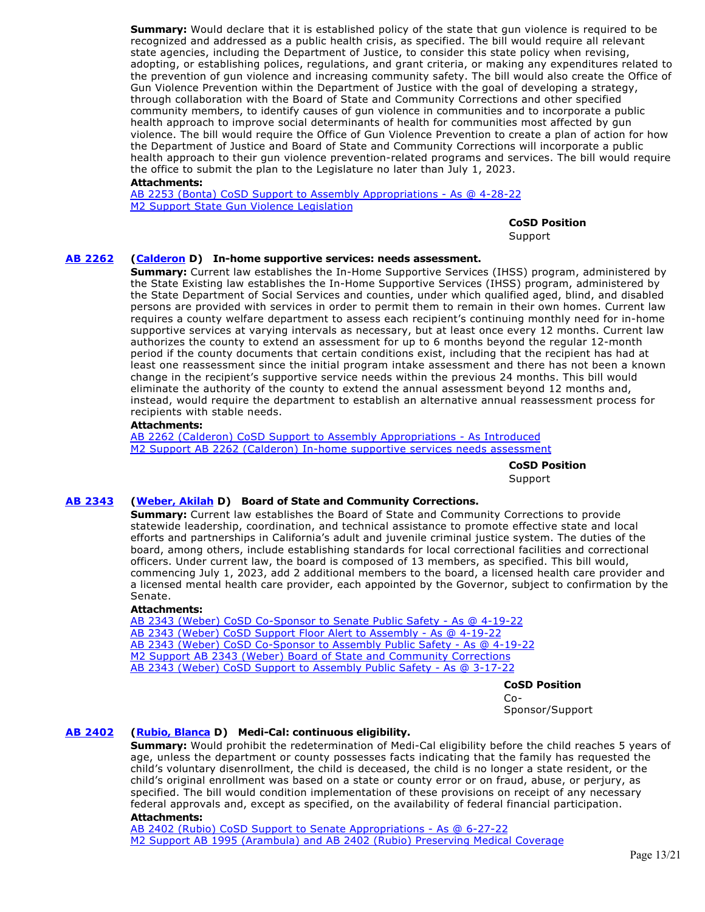**Summary:** Would declare that it is established policy of the state that gun violence is required to be recognized and addressed as a public health crisis, as specified. The bill would require all relevant state agencies, including the Department of Justice, to consider this state policy when revising, adopting, or establishing polices, regulations, and grant criteria, or making any expenditures related to the prevention of gun violence and increasing community safety. The bill would also create the Office of Gun Violence Prevention within the Department of Justice with the goal of developing a strategy, through collaboration with the Board of State and Community Corrections and other specified community members, to identify causes of gun violence in communities and to incorporate a public health approach to improve social determinants of health for communities most affected by gun violence. The bill would require the Office of Gun Violence Prevention to create a plan of action for how the Department of Justice and Board of State and Community Corrections will incorporate a public health approach to their gun violence prevention-related programs and services. The bill would require the office to submit the plan to the Legislature no later than July 1, 2023.

# **Attachments:**

[AB 2253 \(Bonta\) CoSD Support to Assembly Appropriations - As @ 4-28-22](https://ctweb.capitoltrack.com/public/publishviewdoc.ashx?di=dk2cOjgLcbW0twq%2Bh2dz5wyU%2FtDTVI3ausAwC07G20w%3D) [M2 Support State Gun Violence Legislation](https://ctweb.capitoltrack.com/public/publishviewdoc.ashx?di=dk2cOjgLcbW0twq%2Bh2dz5yUm0MOrTNb45rnhS1qPB1s%3D)

**CoSD Position** 

Support

# **[AB 2262](https://ctweb.capitoltrack.com/public/publishbillinfo.aspx?bi=RiTgEtQUzQtdybZKdO%2B4FJfjmzI8ZqbYqP2dv8Nz13czYClj%2FIbTjjBVRRwgv%2BN8) [\(Calderon](https://a57.asmdc.org/) D) In-home supportive services: needs assessment.**

**Summary:** Current law establishes the In-Home Supportive Services (IHSS) program, administered by the State Existing law establishes the In-Home Supportive Services (IHSS) program, administered by the State Department of Social Services and counties, under which qualified aged, blind, and disabled persons are provided with services in order to permit them to remain in their own homes. Current law requires a county welfare department to assess each recipient's continuing monthly need for in-home supportive services at varying intervals as necessary, but at least once every 12 months. Current law authorizes the county to extend an assessment for up to 6 months beyond the regular 12-month period if the county documents that certain conditions exist, including that the recipient has had at least one reassessment since the initial program intake assessment and there has not been a known change in the recipient's supportive service needs within the previous 24 months. This bill would eliminate the authority of the county to extend the annual assessment beyond 12 months and, instead, would require the department to establish an alternative annual reassessment process for recipients with stable needs.

#### **Attachments:**

[AB 2262 \(Calderon\) CoSD Support to Assembly Appropriations - As Introduced](https://ctweb.capitoltrack.com/public/publishviewdoc.ashx?di=dk2cOjgLcbW0twq%2Bh2dz56gl7Lk6IpjDdb5LPQ6IwBA%3D) [M2 Support AB 2262 \(Calderon\) In-home supportive services needs assessment](https://ctweb.capitoltrack.com/public/publishviewdoc.ashx?di=dk2cOjgLcbW0twq%2Bh2dz58A7AQ8AqQ7w5j8MHSJrhYE%3D)

> **CoSD Position**  Support

# **[AB 2343](https://ctweb.capitoltrack.com/public/publishbillinfo.aspx?bi=Pun19Ilc4gbO0uRdmaFuF3w80P%2BVND8nR6Scf2iXg23R6jngyB3PazvvSHfNKrAs) [\(Weber, Akilah](https://a79.asmdc.org/) D) Board of State and Community Corrections.**

**Summary:** Current law establishes the Board of State and Community Corrections to provide statewide leadership, coordination, and technical assistance to promote effective state and local efforts and partnerships in California's adult and juvenile criminal justice system. The duties of the board, among others, include establishing standards for local correctional facilities and correctional officers. Under current law, the board is composed of 13 members, as specified. This bill would, commencing July 1, 2023, add 2 additional members to the board, a licensed health care provider and a licensed mental health care provider, each appointed by the Governor, subject to confirmation by the Senate.

#### **Attachments:**

[AB 2343 \(Weber\) CoSD Co-Sponsor to Senate Public Safety - As @ 4-19-22](https://ctweb.capitoltrack.com/public/publishviewdoc.ashx?di=VVp%2BXtQ%2BCi%2FTbLBvPuMCfWFapG1yAxLqJcxNdc7rlTA%3D) [AB 2343 \(Weber\) CoSD Support Floor Alert to Assembly - As @ 4-19-22](https://ctweb.capitoltrack.com/public/publishviewdoc.ashx?di=BVl78kp1f%2FeQNzo9Vc%2F2c7h4E%2FIrPaIjph5EBpwPxoI%3D) [AB 2343 \(Weber\) CoSD Co-Sponsor to Assembly Public Safety - As @ 4-19-22](https://ctweb.capitoltrack.com/public/publishviewdoc.ashx?di=BpkCXDmbOA2WWkB%2BifGA546NY%2FtFZqJM4fvaLQAAY%2Bk%3D) [M2 Support AB 2343 \(Weber\) Board of State and Community Corrections](https://ctweb.capitoltrack.com/public/publishviewdoc.ashx?di=gNcqoaPKVNh584PFFMymmwpRP0J05uIWgdsVwsiw%2FKE%3D) [AB 2343 \(Weber\) CoSD Support to Assembly Public Safety - As @ 3-17-22](https://ctweb.capitoltrack.com/public/publishviewdoc.ashx?di=gNcqoaPKVNh584PFFMymmz4TkiJnAQki39aDaBL8%2BMw%3D)

#### **CoSD Position**

Co-Sponsor/Support

# **[AB 2402](https://ctweb.capitoltrack.com/public/publishbillinfo.aspx?bi=itBP7yYfKu0bOmFCL7xDkGYiuKNpEgUxC5OGbFczaPscuThJsl2kR1Pzl9P0S98M) [\(Rubio, Blanca](https://a48.asmdc.org/) D) Medi-Cal: continuous eligibility.**

**Summary:** Would prohibit the redetermination of Medi-Cal eligibility before the child reaches 5 years of age, unless the department or county possesses facts indicating that the family has requested the child's voluntary disenrollment, the child is deceased, the child is no longer a state resident, or the child's original enrollment was based on a state or county error or on fraud, abuse, or perjury, as specified. The bill would condition implementation of these provisions on receipt of any necessary federal approvals and, except as specified, on the availability of federal financial participation. **Attachments:**

# [AB 2402 \(Rubio\) CoSD Support to Senate Appropriations - As @ 6-27-22](https://ctweb.capitoltrack.com/public/publishviewdoc.ashx?di=zOZWG1Gfhxmp2yp9Zqex8DcRMdGYY8pqA51UagGhDII%3D) [M2 Support AB 1995 \(Arambula\) and AB 2402 \(Rubio\) Preserving Medical Coverage](https://ctweb.capitoltrack.com/public/publishviewdoc.ashx?di=gNcqoaPKVNh584PFFMymm3iX2j4yJvHB4QI4WXRkWtw%3D)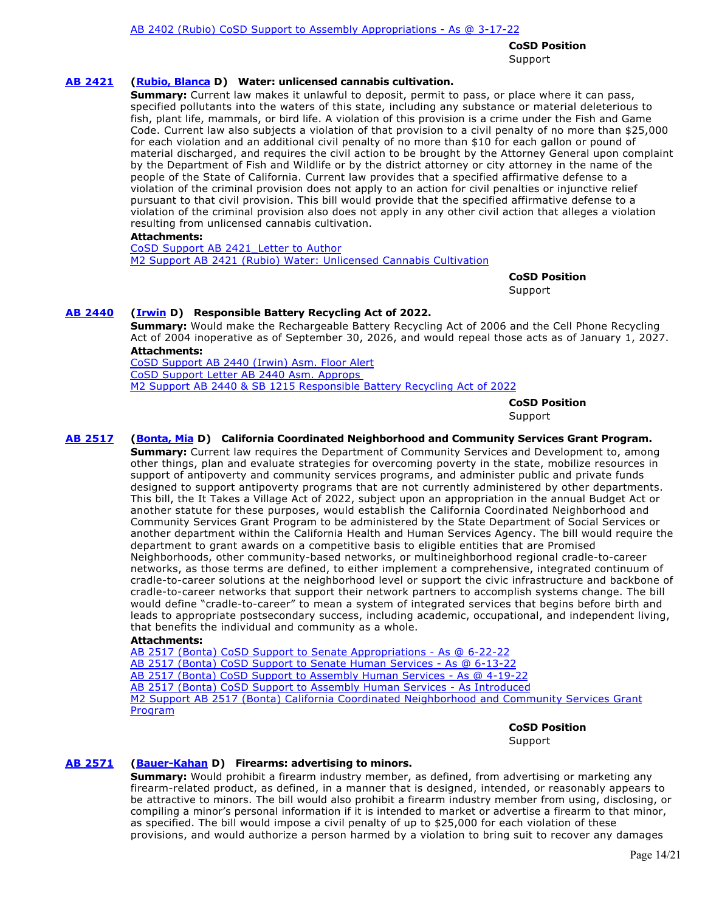**CoSD Position**  Support

### **[AB 2421](https://ctweb.capitoltrack.com/public/publishbillinfo.aspx?bi=bU7v6AHaqsK5bxo34XDpf97zQ7YM7gw9adRug6Cy0oO4scRikx75xsTvsBUyASYe) [\(Rubio, Blanca](https://a48.asmdc.org/) D) Water: unlicensed cannabis cultivation.**

**Summary:** Current law makes it unlawful to deposit, permit to pass, or place where it can pass, specified pollutants into the waters of this state, including any substance or material deleterious to fish, plant life, mammals, or bird life. A violation of this provision is a crime under the Fish and Game Code. Current law also subjects a violation of that provision to a civil penalty of no more than \$25,000 for each violation and an additional civil penalty of no more than \$10 for each gallon or pound of material discharged, and requires the civil action to be brought by the Attorney General upon complaint by the Department of Fish and Wildlife or by the district attorney or city attorney in the name of the people of the State of California. Current law provides that a specified affirmative defense to a violation of the criminal provision does not apply to an action for civil penalties or injunctive relief pursuant to that civil provision. This bill would provide that the specified affirmative defense to a violation of the criminal provision also does not apply in any other civil action that alleges a violation resulting from unlicensed cannabis cultivation.

#### **Attachments:**

[CoSD Support AB 2421\\_Letter to Author](https://ctweb.capitoltrack.com/public/publishviewdoc.ashx?di=SNX3xRFhgOoGq%2BGCOXZrT8HqtMXeQzR1JqKzp9y%2B7Pc%3D) [M2 Support AB 2421 \(Rubio\) Water: Unlicensed Cannabis Cultivation](https://ctweb.capitoltrack.com/public/publishviewdoc.ashx?di=ZppYl7SozKd6%2BtTAFkbXoSCVbrJb2HgH49eoxISOgDw%3D)

> **CoSD Position**  Support

#### **[AB 2440](https://ctweb.capitoltrack.com/public/publishbillinfo.aspx?bi=M6MR5meXQZNeZGatVe6k1zOpbDavHyPkEsScKfg6TQQ6T1RgjFqDvOkx2gH8cUgh) [\(Irwin](https://a44.asmdc.org/) D) Responsible Battery Recycling Act of 2022.**

**Summary:** Would make the Rechargeable Battery Recycling Act of 2006 and the Cell Phone Recycling Act of 2004 inoperative as of September 30, 2026, and would repeal those acts as of January 1, 2027. **Attachments:**

[CoSD Support AB 2440 \(Irwin\) Asm. Floor Alert](https://ctweb.capitoltrack.com/public/publishviewdoc.ashx?di=doiPWNstzzy1q30AbChmPjT02PDm1lwQvnaQrw4qNXI%3D) [CoSD Support Letter AB 2440 Asm. Approps](https://ctweb.capitoltrack.com/public/publishviewdoc.ashx?di=QKICl6wirv2sEz2BIb4An9FyqUUvH8TMEPl5mhKcP3Y%3D)  [M2 Support AB 2440 & SB 1215 Responsible Battery Recycling Act of 2022](https://ctweb.capitoltrack.com/public/publishviewdoc.ashx?di=ProOyGINQ2SH33vnmXYZRAidIAW%2Bwz4AuhLsvwH1SHk%3D)

**CoSD Position** 

# Support

# **[AB 2517](https://ctweb.capitoltrack.com/public/publishbillinfo.aspx?bi=dRHTjALDG3sRt2l%2F%2Bz7sY9aAIlj0a0jugxQbfwBcZVhnoIsYVlRU2A1rI0joBXg7) [\(Bonta, Mia](https://a18.asmdc.org/) D) California Coordinated Neighborhood and Community Services Grant Program.**

**Summary:** Current law requires the Department of Community Services and Development to, among other things, plan and evaluate strategies for overcoming poverty in the state, mobilize resources in support of antipoverty and community services programs, and administer public and private funds designed to support antipoverty programs that are not currently administered by other departments. This bill, the It Takes a Village Act of 2022, subject upon an appropriation in the annual Budget Act or another statute for these purposes, would establish the California Coordinated Neighborhood and Community Services Grant Program to be administered by the State Department of Social Services or another department within the California Health and Human Services Agency. The bill would require the department to grant awards on a competitive basis to eligible entities that are Promised Neighborhoods, other community-based networks, or multineighborhood regional cradle-to-career networks, as those terms are defined, to either implement a comprehensive, integrated continuum of cradle-to-career solutions at the neighborhood level or support the civic infrastructure and backbone of cradle-to-career networks that support their network partners to accomplish systems change. The bill would define "cradle-to-career" to mean a system of integrated services that begins before birth and leads to appropriate postsecondary success, including academic, occupational, and independent living, that benefits the individual and community as a whole.

#### **Attachments:**

[AB 2517 \(Bonta\) CoSD Support to Senate Appropriations - As @ 6-22-22](https://ctweb.capitoltrack.com/public/publishviewdoc.ashx?di=00nl8pGX4oCOpd3V6g4l5JmUs1FRIsgSa7kAToo70%2F0%3D) [AB 2517 \(Bonta\) CoSD Support to Senate Human Services - As @ 6-13-22](https://ctweb.capitoltrack.com/public/publishviewdoc.ashx?di=hsDT15%2FPdaU1%2FSmkF8vv%2Bg%2FI2Q4pOrqXv%2B%2FBrSqzqXM%3D) [AB 2517 \(Bonta\) CoSD Support to Assembly Human Services - As @ 4-19-22](https://ctweb.capitoltrack.com/public/publishviewdoc.ashx?di=BpkCXDmbOA2WWkB%2BifGA5x2CtbTWYt5lyCp8MP9neDY%3D) [AB 2517 \(Bonta\) CoSD Support to Assembly Human Services - As Introduced](https://ctweb.capitoltrack.com/public/publishviewdoc.ashx?di=%2FZo6xBrqs2OmN9yNB9LYUbb6Z6c54%2FJSBca3XQK193Y%3D) [M2 Support AB 2517 \(Bonta\) California Coordinated Neighborhood and Community Services Grant](https://ctweb.capitoltrack.com/public/publishviewdoc.ashx?di=GOr7nt493lbY3ixeXM5BM5QusK5JRRj5siYkgyr5f8c%3D) Program

#### **CoSD Position**

Support

#### **[AB 2571](https://ctweb.capitoltrack.com/public/publishbillinfo.aspx?bi=CAZkYZHUFPtv4h8bTnf6IzXwow9GwkKUDrkSX3CuvP7r%2FzIceDIVPqk1vgFYM6vd) [\(Bauer-Kahan](https://a16.asmdc.org/) D) Firearms: advertising to minors.**

**Summary:** Would prohibit a firearm industry member, as defined, from advertising or marketing any firearm-related product, as defined, in a manner that is designed, intended, or reasonably appears to be attractive to minors. The bill would also prohibit a firearm industry member from using, disclosing, or compiling a minor's personal information if it is intended to market or advertise a firearm to that minor, as specified. The bill would impose a civil penalty of up to \$25,000 for each violation of these provisions, and would authorize a person harmed by a violation to bring suit to recover any damages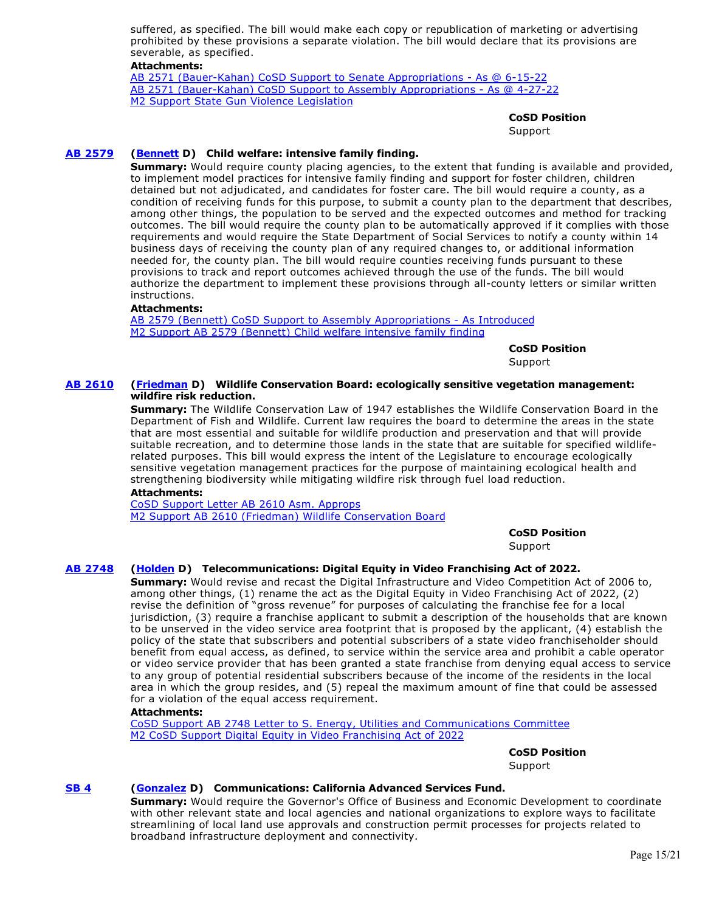suffered, as specified. The bill would make each copy or republication of marketing or advertising prohibited by these provisions a separate violation. The bill would declare that its provisions are severable, as specified.

# **Attachments:**

[AB 2571 \(Bauer-Kahan\) CoSD Support to Senate Appropriations - As @ 6-15-22](https://ctweb.capitoltrack.com/public/publishviewdoc.ashx?di=ZppYl7SozKd6%2BtTAFkbXoZ9NDjAP9MKbbMghAYZm3X4%3D) [AB 2571 \(Bauer-Kahan\) CoSD Support to Assembly Appropriations - As @ 4-27-22](https://ctweb.capitoltrack.com/public/publishviewdoc.ashx?di=dk2cOjgLcbW0twq%2Bh2dz5wRshna7FB46IHqfSgJNY6A%3D) [M2 Support State Gun Violence Legislation](https://ctweb.capitoltrack.com/public/publishviewdoc.ashx?di=dk2cOjgLcbW0twq%2Bh2dz53egRSAK1Wh68pVW09M3psE%3D)

#### **CoSD Position**

**Support** 

#### **[AB 2579](https://ctweb.capitoltrack.com/public/publishbillinfo.aspx?bi=5pnSXduwGMp1rZivF9pP1DGQlETg4tVBjWJohdoGW1uEsx2dX1J8om5T3ElR9WDK) [\(Bennett](https://a37.asmdc.org/) D) Child welfare: intensive family finding.**

**Summary:** Would require county placing agencies, to the extent that funding is available and provided, to implement model practices for intensive family finding and support for foster children, children detained but not adjudicated, and candidates for foster care. The bill would require a county, as a condition of receiving funds for this purpose, to submit a county plan to the department that describes, among other things, the population to be served and the expected outcomes and method for tracking outcomes. The bill would require the county plan to be automatically approved if it complies with those requirements and would require the State Department of Social Services to notify a county within 14 business days of receiving the county plan of any required changes to, or additional information needed for, the county plan. The bill would require counties receiving funds pursuant to these provisions to track and report outcomes achieved through the use of the funds. The bill would authorize the department to implement these provisions through all-county letters or similar written instructions.

#### **Attachments:**

[AB 2579 \(Bennett\) CoSD Support to Assembly Appropriations - As Introduced](https://ctweb.capitoltrack.com/public/publishviewdoc.ashx?di=ProOyGINQ2SH33vnmXYZRMnrWuiooBoABPVMHtV%2BZQE%3D) [M2 Support AB 2579 \(Bennett\) Child welfare intensive family finding](https://ctweb.capitoltrack.com/public/publishviewdoc.ashx?di=2B74Y50euxz5mMBaxshBoLrw6%2B5MRWELV6WZletfJJQ%3D)

**CoSD Position** 

Support

#### **[AB 2610](https://ctweb.capitoltrack.com/public/publishbillinfo.aspx?bi=15cdFn8hxXjeF0Fk%2FIfSvLOIbrj8XaLuXkP43OTBlc7nmxq3tUHzM9VITjRvVWr%2B) [\(Friedman](https://a43.asmdc.org/) D) Wildlife Conservation Board: ecologically sensitive vegetation management: wildfire risk reduction.**

**Summary:** The Wildlife Conservation Law of 1947 establishes the Wildlife Conservation Board in the Department of Fish and Wildlife. Current law requires the board to determine the areas in the state that are most essential and suitable for wildlife production and preservation and that will provide suitable recreation, and to determine those lands in the state that are suitable for specified wildliferelated purposes. This bill would express the intent of the Legislature to encourage ecologically sensitive vegetation management practices for the purpose of maintaining ecological health and strengthening biodiversity while mitigating wildfire risk through fuel load reduction.

#### **Attachments:**

[CoSD Support Letter AB 2610 Asm. Approps](https://ctweb.capitoltrack.com/public/publishviewdoc.ashx?di=QKICl6wirv2sEz2BIb4AnyGI6AlbBgz33ZFEp%2BIA1uQ%3D) [M2 Support AB 2610 \(Friedman\) Wildlife Conservation Board](https://ctweb.capitoltrack.com/public/publishviewdoc.ashx?di=ProOyGINQ2SH33vnmXYZRAryLqGYDAFmOJe5Wq0Uj%2BM%3D)

**CoSD Position** 

Support

# **[AB 2748](https://ctweb.capitoltrack.com/public/publishbillinfo.aspx?bi=PT9zy4HagC4tnaElwxAs%2FzjiSk1XjMeh3qlVNUj8oEFysBdB3CP%2B2OsKgorm6SU1) [\(Holden](https://a41.asmdc.org/) D) Telecommunications: Digital Equity in Video Franchising Act of 2022.**

**Summary:** Would revise and recast the Digital Infrastructure and Video Competition Act of 2006 to, among other things, (1) rename the act as the Digital Equity in Video Franchising Act of 2022, (2) revise the definition of "gross revenue" for purposes of calculating the franchise fee for a local jurisdiction, (3) require a franchise applicant to submit a description of the households that are known to be unserved in the video service area footprint that is proposed by the applicant, (4) establish the policy of the state that subscribers and potential subscribers of a state video franchiseholder should benefit from equal access, as defined, to service within the service area and prohibit a cable operator or video service provider that has been granted a state franchise from denying equal access to service to any group of potential residential subscribers because of the income of the residents in the local area in which the group resides, and (5) repeal the maximum amount of fine that could be assessed for a violation of the equal access requirement.

#### **Attachments:**

[CoSD Support AB 2748 Letter to S. Energy, Utilities and Communications Committee](https://ctweb.capitoltrack.com/public/publishviewdoc.ashx?di=%2Ba2r%2FRf9cYbbDbvihP%2FCBfSKU8YD%2BYNqod8BhFeUFyM%3D) [M2 CoSD Support Digital Equity in Video Franchising Act of 2022](https://ctweb.capitoltrack.com/public/publishviewdoc.ashx?di=%2Ba2r%2FRf9cYbbDbvihP%2FCBefTD8qGQ6DGyL7jrWCYSHs%3D)

**CoSD Position** 

Support

# **[SB 4](https://ctweb.capitoltrack.com/public/publishbillinfo.aspx?bi=7iw%2BoOphomO2e09sMbxh80OZqP6MfeapLcUAx7GcmMSoR%2B1Lx%2FWtSYwkmi8XFjSL) [\(Gonzalez](https://sd33.senate.ca.gov/) D) Communications: California Advanced Services Fund.**

**Summary:** Would require the Governor's Office of Business and Economic Development to coordinate with other relevant state and local agencies and national organizations to explore ways to facilitate streamlining of local land use approvals and construction permit processes for projects related to broadband infrastructure deployment and connectivity.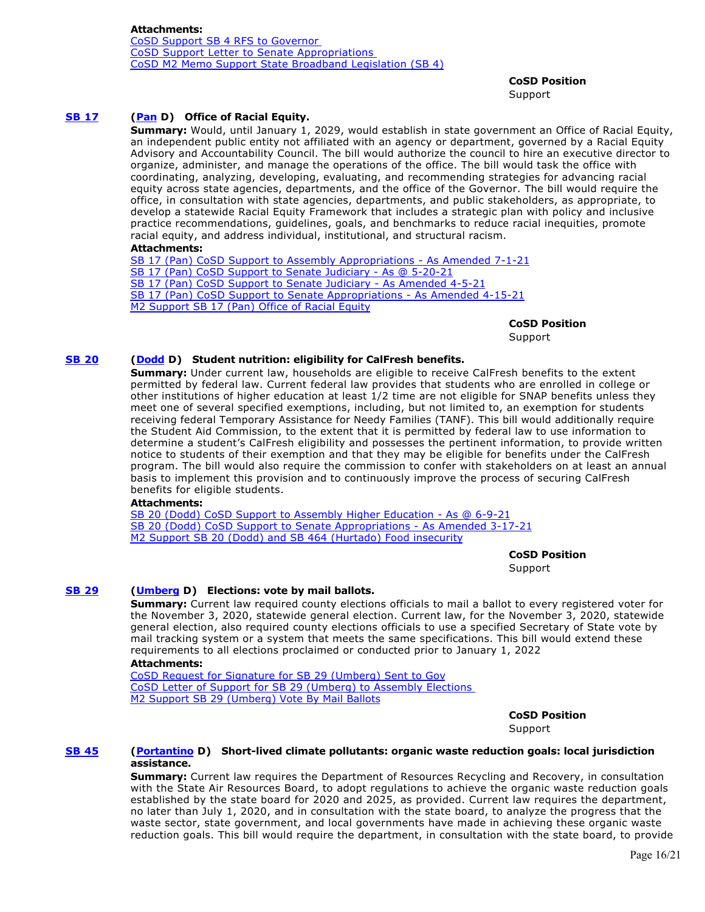**CoSD Position** 

Support

# **[SB 17](https://ctweb.capitoltrack.com/public/publishbillinfo.aspx?bi=amTl9TNiTnhtp60E0pCqoSssAS5A9KjbEJjcxFY%2BCKuHF%2FVZeqZ3TyvBAHHGn1mB) [\(Pan](http://sd06.senate.ca.gov/) D) Office of Racial Equity.**

**Summary:** Would, until January 1, 2029, would establish in state government an Office of Racial Equity, an independent public entity not affiliated with an agency or department, governed by a Racial Equity Advisory and Accountability Council. The bill would authorize the council to hire an executive director to organize, administer, and manage the operations of the office. The bill would task the office with coordinating, analyzing, developing, evaluating, and recommending strategies for advancing racial equity across state agencies, departments, and the office of the Governor. The bill would require the office, in consultation with state agencies, departments, and public stakeholders, as appropriate, to develop a statewide Racial Equity Framework that includes a strategic plan with policy and inclusive practice recommendations, guidelines, goals, and benchmarks to reduce racial inequities, promote racial equity, and address individual, institutional, and structural racism.

# **Attachments:**

[SB 17 \(Pan\) CoSD Support to Assembly Appropriations - As Amended 7-1-21](https://ctweb.capitoltrack.com/public/publishviewdoc.ashx?di=SdzwosslU6Z7AgeT7XziaA0D84Mm%2BgErfkyQ2tolJss%3D) [SB 17 \(Pan\) CoSD Support to Senate Judiciary - As @ 5-20-21](https://ctweb.capitoltrack.com/public/publishviewdoc.ashx?di=KfyU%2BZjc29ACcnpfAHl5HQOuYxe8Gi8NsbG%2FVPaovyU%3D) [SB 17 \(Pan\) CoSD Support to Senate Judiciary - As Amended 4-5-21](https://ctweb.capitoltrack.com/public/publishviewdoc.ashx?di=fn5GsbNs8w8RNEa10z2ZS8p7fRX7P%2B9Jq4HrCHUeA5Q%3D) [SB 17 \(Pan\) CoSD Support to Senate Appropriations - As Amended 4-15-21](https://ctweb.capitoltrack.com/public/publishviewdoc.ashx?di=fn5GsbNs8w8RNEa10z2ZSwTBOWmvOnBAZYUEdaOtqeY%3D) [M2 Support SB 17 \(Pan\) Office of Racial Equity](https://ctweb.capitoltrack.com/public/publishviewdoc.ashx?di=qw0%2B8khJ4Mrv9a0%2B%2B%2BOtM%2FYNgNq1FhBPzyExKJyHpkg%3D)

> **CoSD Position**  Support

# **[SB 20](https://ctweb.capitoltrack.com/public/publishbillinfo.aspx?bi=i4n6vRx%2FwO2sPJBBQUbfHH1mK3HcBpqmxyMO8RIQnpqIumlhcp06tllGt5WGpOmG) [\(Dodd](http://sd03.senate.ca.gov/) D) Student nutrition: eligibility for CalFresh benefits.**

**Summary:** Under current law, households are eligible to receive CalFresh benefits to the extent permitted by federal law. Current federal law provides that students who are enrolled in college or other institutions of higher education at least 1/2 time are not eligible for SNAP benefits unless they meet one of several specified exemptions, including, but not limited to, an exemption for students receiving federal Temporary Assistance for Needy Families (TANF). This bill would additionally require the Student Aid Commission, to the extent that it is permitted by federal law to use information to determine a student's CalFresh eligibility and possesses the pertinent information, to provide written notice to students of their exemption and that they may be eligible for benefits under the CalFresh program. The bill would also require the commission to confer with stakeholders on at least an annual basis to implement this provision and to continuously improve the process of securing CalFresh benefits for eligible students.

# **Attachments:**

[SB 20 \(Dodd\) CoSD Support to Assembly Higher Education - As @ 6-9-21](https://ctweb.capitoltrack.com/public/publishviewdoc.ashx?di=qkZiTCbWW%2FVQ89HN8rvr7HX2srTKqCTel5ZXXwLGEho%3D) [SB 20 \(Dodd\) CoSD Support to Senate Appropriations - As Amended 3-17-21](https://ctweb.capitoltrack.com/public/publishviewdoc.ashx?di=fn5GsbNs8w8RNEa10z2ZSxH7xbutmSMdXDllf6WIg30%3D) [M2 Support SB 20 \(Dodd\) and SB 464 \(Hurtado\) Food insecurity](https://ctweb.capitoltrack.com/public/publishviewdoc.ashx?di=gIprrEQIz7XXb3aQylWEgT0%2FNJkLWWaETDBgTkV%2FGr8%3D)

**CoSD Position** 

Support

# **[SB 29](https://ctweb.capitoltrack.com/public/publishbillinfo.aspx?bi=FiUlzLctw7xsEofKuUOQsNfTTqy3gXPkV0MNKrBl4xCGJ4OcjGbcjbdnQgC0QwFR) [\(Umberg](https://sd34.senate.ca.gov/) D) Elections: vote by mail ballots.**

**Summary:** Current law required county elections officials to mail a ballot to every registered voter for the November 3, 2020, statewide general election. Current law, for the November 3, 2020, statewide general election, also required county elections officials to use a specified Secretary of State vote by mail tracking system or a system that meets the same specifications. This bill would extend these requirements to all elections proclaimed or conducted prior to January 1, 2022

# **Attachments:**

[CoSD Request for Signature for SB 29 \(Umberg\) Sent to Gov](https://ctweb.capitoltrack.com/public/publishviewdoc.ashx?di=QI%2FTDFa8UhBSlTTp5ShUGu37GIvKUHACnRoQeG5Rgzs%3D) [CoSD Letter of Support for SB 29 \(Umberg\) to Assembly Elections](https://ctweb.capitoltrack.com/public/publishviewdoc.ashx?di=QI%2FTDFa8UhBSlTTp5ShUGvGVYdc0D%2B24%2FCT0p%2FpFrK0%3D)  [M2 Support SB 29 \(Umberg\) Vote By Mail Ballots](https://ctweb.capitoltrack.com/public/publishviewdoc.ashx?di=QI%2FTDFa8UhBSlTTp5ShUGr%2B%2FfgjqkEW41%2FoFjuIeTx0%3D)

**CoSD Position** 

Support

#### **[SB 45](https://ctweb.capitoltrack.com/public/publishbillinfo.aspx?bi=RniWx%2FnQqi0ivNbC8dUF8Rm6VrnX%2BCGpxi4%2FH2%2B47Yad6iecvHyBEJ4XgvGQF818) [\(Portantino](http://sd25.senate.ca.gov/) D) Short-lived climate pollutants: organic waste reduction goals: local jurisdiction assistance.**

**Summary:** Current law requires the Department of Resources Recycling and Recovery, in consultation with the State Air Resources Board, to adopt regulations to achieve the organic waste reduction goals established by the state board for 2020 and 2025, as provided. Current law requires the department, no later than July 1, 2020, and in consultation with the state board, to analyze the progress that the waste sector, state government, and local governments have made in achieving these organic waste reduction goals. This bill would require the department, in consultation with the state board, to provide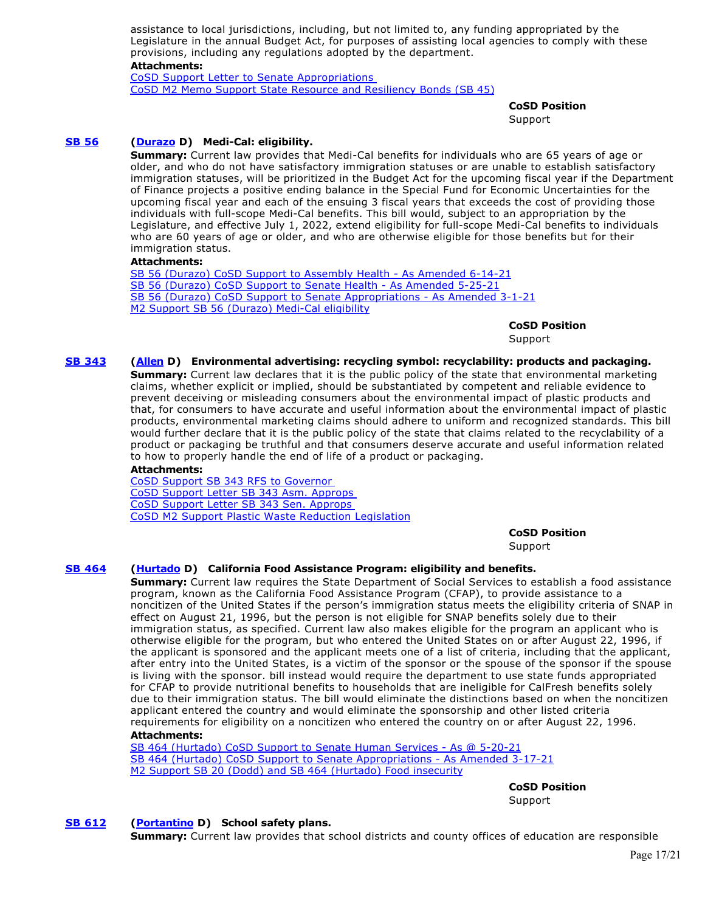assistance to local jurisdictions, including, but not limited to, any funding appropriated by the Legislature in the annual Budget Act, for purposes of assisting local agencies to comply with these provisions, including any regulations adopted by the department.

#### **Attachments:**

[CoSD Support Letter to Senate Appropriations](https://ctweb.capitoltrack.com/public/publishviewdoc.ashx?di=DUKFf9MC%2FfPnyojaKU549HdqGrHw%2FA9A2LLQiS7%2Fiyo%3D)  [CoSD M2 Memo Support State Resource and Resiliency Bonds \(SB 45\)](https://ctweb.capitoltrack.com/public/publishviewdoc.ashx?di=DUKFf9MC%2FfPnyojaKU549I8PmJMzbejySlDyT4ggvwE%3D)

> **CoSD Position**  Support

# **[SB 56](https://ctweb.capitoltrack.com/public/publishbillinfo.aspx?bi=F%2Fw0B%2BvarBChE%2FuacfRDXLLVpzRzRQiPvBuQ1vI5chs8X%2FXja8fS5prvvLURNkkD) [\(Durazo](http://sd24.senate.ca.gov/) D) Medi-Cal: eligibility.**

**Summary:** Current law provides that Medi-Cal benefits for individuals who are 65 years of age or older, and who do not have satisfactory immigration statuses or are unable to establish satisfactory immigration statuses, will be prioritized in the Budget Act for the upcoming fiscal year if the Department of Finance projects a positive ending balance in the Special Fund for Economic Uncertainties for the upcoming fiscal year and each of the ensuing 3 fiscal years that exceeds the cost of providing those individuals with full-scope Medi-Cal benefits. This bill would, subject to an appropriation by the Legislature, and effective July 1, 2022, extend eligibility for full-scope Medi-Cal benefits to individuals who are 60 years of age or older, and who are otherwise eligible for those benefits but for their immigration status.

#### **Attachments:**

[SB 56 \(Durazo\) CoSD Support to Assembly Health - As Amended 6-14-21](https://ctweb.capitoltrack.com/public/publishviewdoc.ashx?di=2NyfttqiisahzR9Ot9CdTsc%2BFYw6YevIGZ2AIFt8ZUc%3D) [SB 56 \(Durazo\) CoSD Support to Senate Health - As Amended 5-25-21](https://ctweb.capitoltrack.com/public/publishviewdoc.ashx?di=8C4wTfEfpr41ThHGwF0DjHjAlMNnTTJd0wrANrg2SIE%3D) [SB 56 \(Durazo\) CoSD Support to Senate Appropriations - As Amended 3-1-21](https://ctweb.capitoltrack.com/public/publishviewdoc.ashx?di=fn5GsbNs8w8RNEa10z2ZS7sKuszsY9yvI5VCzsJMJ3A%3D) [M2 Support SB 56 \(Durazo\) Medi-Cal eligibility](https://ctweb.capitoltrack.com/public/publishviewdoc.ashx?di=WR%2FNXaYDm6sL%2BzF6U5xvm%2Buu%2B1G8Bmf6L%2Fd%2FgWCxL2Y%3D)

> **CoSD Position**  Support

#### **[SB 343](https://ctweb.capitoltrack.com/public/publishbillinfo.aspx?bi=TZJolugGlY2JDZ4SJV0J0cElBIqty1icED%2BsvQ0Tn26kh8Eexnv2urwGD01JxdIz) [\(Allen](http://sd26.senate.ca.gov/) D) Environmental advertising: recycling symbol: recyclability: products and packaging.**

**Summary:** Current law declares that it is the public policy of the state that environmental marketing claims, whether explicit or implied, should be substantiated by competent and reliable evidence to prevent deceiving or misleading consumers about the environmental impact of plastic products and that, for consumers to have accurate and useful information about the environmental impact of plastic products, environmental marketing claims should adhere to uniform and recognized standards. This bill would further declare that it is the public policy of the state that claims related to the recyclability of a product or packaging be truthful and that consumers deserve accurate and useful information related to how to properly handle the end of life of a product or packaging.

# **Attachments:**

[CoSD Support SB 343 RFS to Governor](https://ctweb.capitoltrack.com/public/publishviewdoc.ashx?di=s3MhtDglwA4W%2B%2FlyPbQfpBvTB0Xr7McudFVm9KL7t2c%3D)  [CoSD Support Letter SB 343 Asm. Approps](https://ctweb.capitoltrack.com/public/publishviewdoc.ashx?di=4ikkL7cb1GZZ5mmQoRd5ZV0SS5lx3nOZ7APpbCPXm8o%3D)  [CoSD Support Letter SB 343 Sen. Approps](https://ctweb.capitoltrack.com/public/publishviewdoc.ashx?di=DuYn0ec7qY7E4xpVF9saOWmnh5ddfCrMB5SglxH1RKE%3D)  [CoSD M2 Support Plastic Waste Reduction Legislation](https://ctweb.capitoltrack.com/public/publishviewdoc.ashx?di=Fk5GURxMaDKHM0RVSv5UBRSXAlM0cmN7PocVoKSUnXw%3D)

**CoSD Position** 

Support

# **[SB 464](https://ctweb.capitoltrack.com/public/publishbillinfo.aspx?bi=K7qsWSEsJ%2FGSIbM%2FRNOoaLw8JDwGjRSKplSjRy29iB4wXNjHfTMsjxQdgwAsOd36) [\(Hurtado](https://sd14.senate.ca.gov/) D) California Food Assistance Program: eligibility and benefits.**

**Summary:** Current law requires the State Department of Social Services to establish a food assistance program, known as the California Food Assistance Program (CFAP), to provide assistance to a noncitizen of the United States if the person's immigration status meets the eligibility criteria of SNAP in effect on August 21, 1996, but the person is not eligible for SNAP benefits solely due to their immigration status, as specified. Current law also makes eligible for the program an applicant who is otherwise eligible for the program, but who entered the United States on or after August 22, 1996, if the applicant is sponsored and the applicant meets one of a list of criteria, including that the applicant, after entry into the United States, is a victim of the sponsor or the spouse of the sponsor if the spouse is living with the sponsor. bill instead would require the department to use state funds appropriated for CFAP to provide nutritional benefits to households that are ineligible for CalFresh benefits solely due to their immigration status. The bill would eliminate the distinctions based on when the noncitizen applicant entered the country and would eliminate the sponsorship and other listed criteria requirements for eligibility on a noncitizen who entered the country on or after August 22, 1996.

# **Attachments:**

[SB 464 \(Hurtado\) CoSD Support to Senate Human Services - As @ 5-20-21](https://ctweb.capitoltrack.com/public/publishviewdoc.ashx?di=KfyU%2BZjc29ACcnpfAHl5HeNlrDKhTZG59gwWhQBlIYE%3D) [SB 464 \(Hurtado\) CoSD Support to Senate Appropriations - As Amended 3-17-21](https://ctweb.capitoltrack.com/public/publishviewdoc.ashx?di=fn5GsbNs8w8RNEa10z2ZS0LU0LZeObDZEGi8IplY9Rk%3D) [M2 Support SB 20 \(Dodd\) and SB 464 \(Hurtado\) Food insecurity](https://ctweb.capitoltrack.com/public/publishviewdoc.ashx?di=gIprrEQIz7XXb3aQylWEgYjQly54siZEwZOR2WdMArU%3D)

**CoSD Position** 

Support

# **[SB 612](https://ctweb.capitoltrack.com/public/publishbillinfo.aspx?bi=0G6qS%2BNmEoUm%2FaeR54UiYtrwaNyIP6TU8LSKcgEAD6YSpcqLJbhA4sqOW6wpNKqm) [\(Portantino](http://sd25.senate.ca.gov/) D) School safety plans.**

**Summary:** Current law provides that school districts and county offices of education are responsible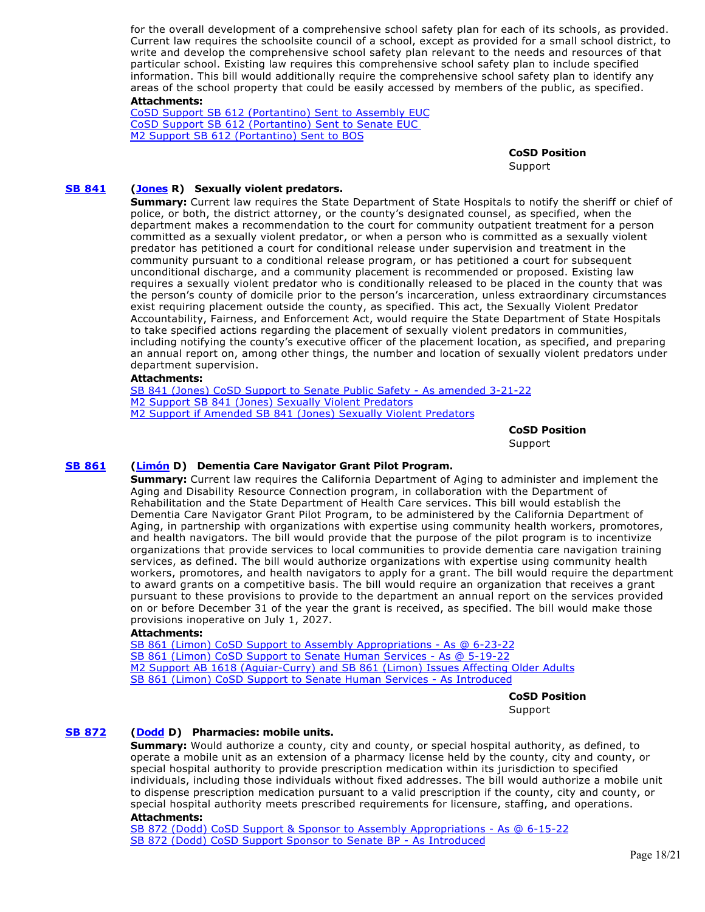for the overall development of a comprehensive school safety plan for each of its schools, as provided. Current law requires the schoolsite council of a school, except as provided for a small school district, to write and develop the comprehensive school safety plan relevant to the needs and resources of that particular school. Existing law requires this comprehensive school safety plan to include specified information. This bill would additionally require the comprehensive school safety plan to identify any areas of the school property that could be easily accessed by members of the public, as specified. **Attachments:**

[CoSD Support SB 612 \(Portantino\) Sent to Assembly EUC](https://ctweb.capitoltrack.com/public/publishviewdoc.ashx?di=0CYIYT0OXTblAvkpBrM16tyNXBBJa%2B7pPnz%2FNOaTSr0%3D) [CoSD Support SB 612 \(Portantino\) Sent to Senate EUC](https://ctweb.capitoltrack.com/public/publishviewdoc.ashx?di=QI%2FTDFa8UhBSlTTp5ShUGrVyuTw75ndeET4dshnNLS8%3D)  [M2 Support SB 612 \(Portantino\) Sent to BOS](https://ctweb.capitoltrack.com/public/publishviewdoc.ashx?di=QI%2FTDFa8UhBSlTTp5ShUGjlbw5MFSzu9bYNvTEcoNTk%3D)

> **CoSD Position**  Support

# **[SB 841](https://ctweb.capitoltrack.com/public/publishbillinfo.aspx?bi=Xv%2BncB6qqAEB3xcVinJeCNah87Mtiy8nXd%2FA6MlKJKDf1D3jZvJq%2Fg3znul6NPZr) [\(Jones](https://jones.cssrc.us/) R) Sexually violent predators.**

**Summary:** Current law requires the State Department of State Hospitals to notify the sheriff or chief of police, or both, the district attorney, or the county's designated counsel, as specified, when the department makes a recommendation to the court for community outpatient treatment for a person committed as a sexually violent predator, or when a person who is committed as a sexually violent predator has petitioned a court for conditional release under supervision and treatment in the community pursuant to a conditional release program, or has petitioned a court for subsequent unconditional discharge, and a community placement is recommended or proposed. Existing law requires a sexually violent predator who is conditionally released to be placed in the county that was the person's county of domicile prior to the person's incarceration, unless extraordinary circumstances exist requiring placement outside the county, as specified. This act, the Sexually Violent Predator Accountability, Fairness, and Enforcement Act, would require the State Department of State Hospitals to take specified actions regarding the placement of sexually violent predators in communities, including notifying the county's executive officer of the placement location, as specified, and preparing an annual report on, among other things, the number and location of sexually violent predators under department supervision.

#### **Attachments:**

[SB 841 \(Jones\) CoSD Support to Senate Public Safety - As amended 3-21-22](https://ctweb.capitoltrack.com/public/publishviewdoc.ashx?di=%2FZo6xBrqs2OmN9yNB9LYUZHgzBXJF8N9pTQ5YIcgfnw%3D) [M2 Support SB 841 \(Jones\) Sexually Violent Predators](https://ctweb.capitoltrack.com/public/publishviewdoc.ashx?di=GOr7nt493lbY3ixeXM5BM0CwryV%2FiOaJ2zh4K13hq8g%3D) [M2 Support if Amended SB 841 \(Jones\) Sexually Violent Predators](https://ctweb.capitoltrack.com/public/publishviewdoc.ashx?di=IgDUgh7iwx%2Bc%2F1DWNOMxn7b7AnA3i6NGb90vCouhXK4%3D)

> **CoSD Position**  Support

# **[SB 861](https://ctweb.capitoltrack.com/public/publishbillinfo.aspx?bi=pcajx3%2FXtT9ajTQIHrEoAK5zbOWiJMJ%2BBSv9vFtjb4Td06K28jD%2Bj0brxRH8jFJq) [\(Limón](http://sd19.senate.ca.gov/) D) Dementia Care Navigator Grant Pilot Program.**

**Summary:** Current law requires the California Department of Aging to administer and implement the Aging and Disability Resource Connection program, in collaboration with the Department of Rehabilitation and the State Department of Health Care services. This bill would establish the Dementia Care Navigator Grant Pilot Program, to be administered by the California Department of Aging, in partnership with organizations with expertise using community health workers, promotores, and health navigators. The bill would provide that the purpose of the pilot program is to incentivize organizations that provide services to local communities to provide dementia care navigation training services, as defined. The bill would authorize organizations with expertise using community health workers, promotores, and health navigators to apply for a grant. The bill would require the department to award grants on a competitive basis. The bill would require an organization that receives a grant pursuant to these provisions to provide to the department an annual report on the services provided on or before December 31 of the year the grant is received, as specified. The bill would make those provisions inoperative on July 1, 2027.

#### **Attachments:**

[SB 861 \(Limon\) CoSD Support to Assembly Appropriations - As @ 6-23-22](https://ctweb.capitoltrack.com/public/publishviewdoc.ashx?di=9fKWZV5eDRzZ7dByKi%2BZO7Y0xHtHBePK4l1vweR10No%3D) [SB 861 \(Limon\) CoSD Support to Senate Human Services - As @ 5-19-22](https://ctweb.capitoltrack.com/public/publishviewdoc.ashx?di=Z%2FQKuW9cnmvOnA%2FxwHmI6cOTRHbdWfcuWDtLGzG4FgI%3D) [M2 Support AB 1618 \(Aguiar-Curry\) and SB 861 \(Limon\) Issues Affecting Older Adults](https://ctweb.capitoltrack.com/public/publishviewdoc.ashx?di=zL%2Fn%2BQ2FQmZFdaWfTjHIyk8iPzSXEWF2cMncizQTe8E%3D) [SB 861 \(Limon\) CoSD Support to Senate Human Services - As Introduced](https://ctweb.capitoltrack.com/public/publishviewdoc.ashx?di=zL%2Fn%2BQ2FQmZFdaWfTjHIyk7B1sX%2Fryw9qOB1GRxxlCM%3D)

> **CoSD Position**  Support

#### **[SB 872](https://ctweb.capitoltrack.com/public/publishbillinfo.aspx?bi=gWJ87ytaMo6EAe7PxRZCjiYmAQDjhy85yYahEO%2BRcgLaF7an%2F%2BC%2BvQyQFrAk4MGU) [\(Dodd](http://sd03.senate.ca.gov/) D) Pharmacies: mobile units.**

**Summary:** Would authorize a county, city and county, or special hospital authority, as defined, to operate a mobile unit as an extension of a pharmacy license held by the county, city and county, or special hospital authority to provide prescription medication within its jurisdiction to specified individuals, including those individuals without fixed addresses. The bill would authorize a mobile unit to dispense prescription medication pursuant to a valid prescription if the county, city and county, or special hospital authority meets prescribed requirements for licensure, staffing, and operations.

#### **Attachments:**

[SB 872 \(Dodd\) CoSD Support & Sponsor to Assembly Appropriations - As @ 6-15-22](https://ctweb.capitoltrack.com/public/publishviewdoc.ashx?di=ZppYl7SozKd6%2BtTAFkbXoW0XiDP4PSlswYrmsGXjyP0%3D) [SB 872 \(Dodd\) CoSD Support Sponsor to Senate BP - As Introduced](https://ctweb.capitoltrack.com/public/publishviewdoc.ashx?di=IgDUgh7iwx%2Bc%2F1DWNOMxn%2BT4cHRMaRqQHFA%2BC%2BztiUk%3D)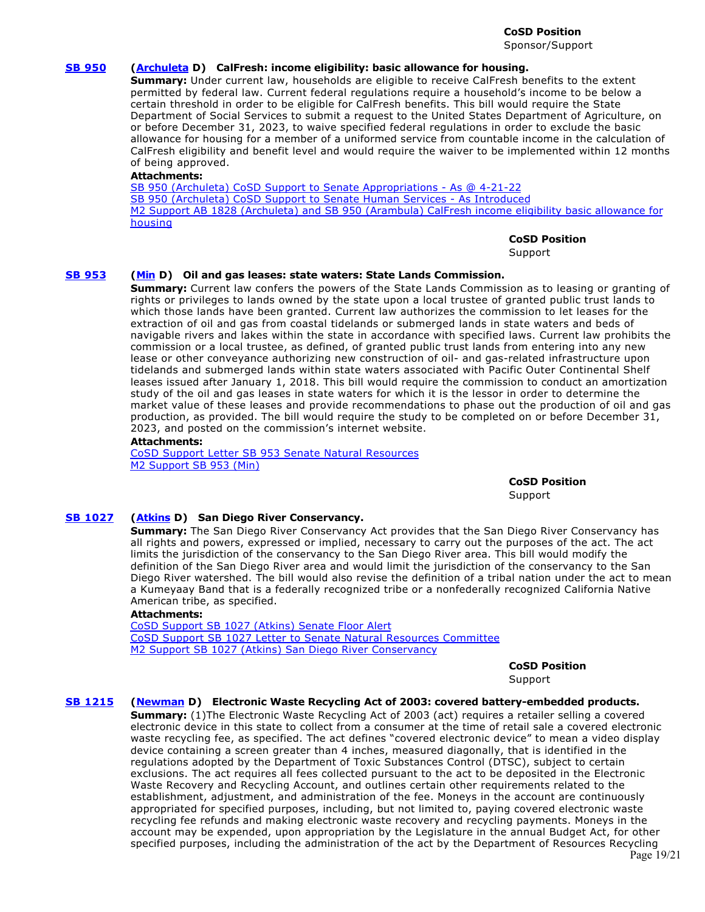**CoSD Position**  Sponsor/Support

#### **[SB 950](https://ctweb.capitoltrack.com/public/publishbillinfo.aspx?bi=fQ3LTbG%2BQx4YRTwJjFmqe44uUIJKSR%2BDBKZc%2B7UmuZn5fUvbl9b3IGonMo8Pg6US) [\(Archuleta](http://sd32.senate.ca.gov/) D) CalFresh: income eligibility: basic allowance for housing.**

**Summary:** Under current law, households are eligible to receive CalFresh benefits to the extent permitted by federal law. Current federal regulations require a household's income to be below a certain threshold in order to be eligible for CalFresh benefits. This bill would require the State Department of Social Services to submit a request to the United States Department of Agriculture, on or before December 31, 2023, to waive specified federal regulations in order to exclude the basic allowance for housing for a member of a uniformed service from countable income in the calculation of CalFresh eligibility and benefit level and would require the waiver to be implemented within 12 months of being approved.

#### **Attachments:**

[SB 950 \(Archuleta\) CoSD Support to Senate Appropriations - As @ 4-21-22](https://ctweb.capitoltrack.com/public/publishviewdoc.ashx?di=BpkCXDmbOA2WWkB%2BifGA55CDbADNHiyRhskq6RNHNKc%3D) [SB 950 \(Archuleta\) CoSD Support to Senate Human Services - As Introduced](https://ctweb.capitoltrack.com/public/publishviewdoc.ashx?di=gNcqoaPKVNh584PFFMymmwA6Ps2dv3OQ7sw3Wh%2F2IUU%3D) [M2 Support AB 1828 \(Archuleta\) and SB 950 \(Arambula\) CalFresh income eligibility basic allowance for](https://ctweb.capitoltrack.com/public/publishviewdoc.ashx?di=gNcqoaPKVNh584PFFMymm%2BmRkNr9g4RSW6pjSdfQt2E%3D) housing

#### **CoSD Position**

Support

#### **[SB 953](https://ctweb.capitoltrack.com/public/publishbillinfo.aspx?bi=GfN8W6Z6nMfqj7KlSpI1z6rl5%2BTznjCoqadptNMsj4ABjESfHl4j%2BRuUWDPjYfuK) [\(Min](https://sd37.senate.ca.gov/) D) Oil and gas leases: state waters: State Lands Commission.**

**Summary:** Current law confers the powers of the State Lands Commission as to leasing or granting of rights or privileges to lands owned by the state upon a local trustee of granted public trust lands to which those lands have been granted. Current law authorizes the commission to let leases for the extraction of oil and gas from coastal tidelands or submerged lands in state waters and beds of navigable rivers and lakes within the state in accordance with specified laws. Current law prohibits the commission or a local trustee, as defined, of granted public trust lands from entering into any new lease or other conveyance authorizing new construction of oil- and gas-related infrastructure upon tidelands and submerged lands within state waters associated with Pacific Outer Continental Shelf leases issued after January 1, 2018. This bill would require the commission to conduct an amortization study of the oil and gas leases in state waters for which it is the lessor in order to determine the market value of these leases and provide recommendations to phase out the production of oil and gas production, as provided. The bill would require the study to be completed on or before December 31, 2023, and posted on the commission's internet website.

#### **Attachments:**

[CoSD Support Letter SB 953 Senate Natural Resources](https://ctweb.capitoltrack.com/public/publishviewdoc.ashx?di=xZfixjgBivNaLkYn28n5eyKVY%2Bm9PvDPTmwKQmUtuSw%3D) [M2 Support SB 953 \(Min\)](https://ctweb.capitoltrack.com/public/publishviewdoc.ashx?di=4%2Fd1VarXdhZAhDXk%2BgGoHeE1FpCc3be0zbbnVn56w34%3D)

> **CoSD Position**  Support

# **[SB 1027](https://ctweb.capitoltrack.com/public/publishbillinfo.aspx?bi=t8H3MHlfEOcmQFva55XMv1IXeJyaEPBTB2SNWfjSOK1KnnBY8oPGfazsi4ujE0nU) [\(Atkins](http://sd39.senate.ca.gov/) D) San Diego River Conservancy.**

**Summary:** The San Diego River Conservancy Act provides that the San Diego River Conservancy has all rights and powers, expressed or implied, necessary to carry out the purposes of the act. The act limits the jurisdiction of the conservancy to the San Diego River area. This bill would modify the definition of the San Diego River area and would limit the jurisdiction of the conservancy to the San Diego River watershed. The bill would also revise the definition of a tribal nation under the act to mean a Kumeyaay Band that is a federally recognized tribe or a nonfederally recognized California Native American tribe, as specified.

#### **Attachments:**

[CoSD Support SB 1027 \(Atkins\) Senate Floor Alert](https://ctweb.capitoltrack.com/public/publishviewdoc.ashx?di=doiPWNstzzy1q30AbChmPuqoUTAqSSWgFJcsKPPgyrU%3D) [CoSD Support SB 1027 Letter to Senate Natural Resources Committee](https://ctweb.capitoltrack.com/public/publishviewdoc.ashx?di=z%2Fdhp8f%2FV%2FXIMFEta3Ot%2FRcoOJnIXLakEqaZMPrwB2w%3D) [M2 Support SB 1027 \(Atkins\) San Diego River Conservancy](https://ctweb.capitoltrack.com/public/publishviewdoc.ashx?di=z%2Fdhp8f%2FV%2FXIMFEta3Ot%2FQ4IP6G%2B%2Fqel2Y1OopNCxkM%3D)

> **CoSD Position**  Support

#### **[SB 1215](https://ctweb.capitoltrack.com/public/publishbillinfo.aspx?bi=tChN8ZZZQYi3tZsYgzyv0ASfBjiqihdttVaY08GpYqTU6dd0mxnmLeSYZIuC1AsQ) [\(Newman](https://sd29.senate.ca.gov/) D) Electronic Waste Recycling Act of 2003: covered battery-embedded products.**

**Summary:** (1)The Electronic Waste Recycling Act of 2003 (act) requires a retailer selling a covered electronic device in this state to collect from a consumer at the time of retail sale a covered electronic waste recycling fee, as specified. The act defines "covered electronic device" to mean a video display device containing a screen greater than 4 inches, measured diagonally, that is identified in the regulations adopted by the Department of Toxic Substances Control (DTSC), subject to certain exclusions. The act requires all fees collected pursuant to the act to be deposited in the Electronic Waste Recovery and Recycling Account, and outlines certain other requirements related to the establishment, adjustment, and administration of the fee. Moneys in the account are continuously appropriated for specified purposes, including, but not limited to, paying covered electronic waste recycling fee refunds and making electronic waste recovery and recycling payments. Moneys in the account may be expended, upon appropriation by the Legislature in the annual Budget Act, for other specified purposes, including the administration of the act by the Department of Resources Recycling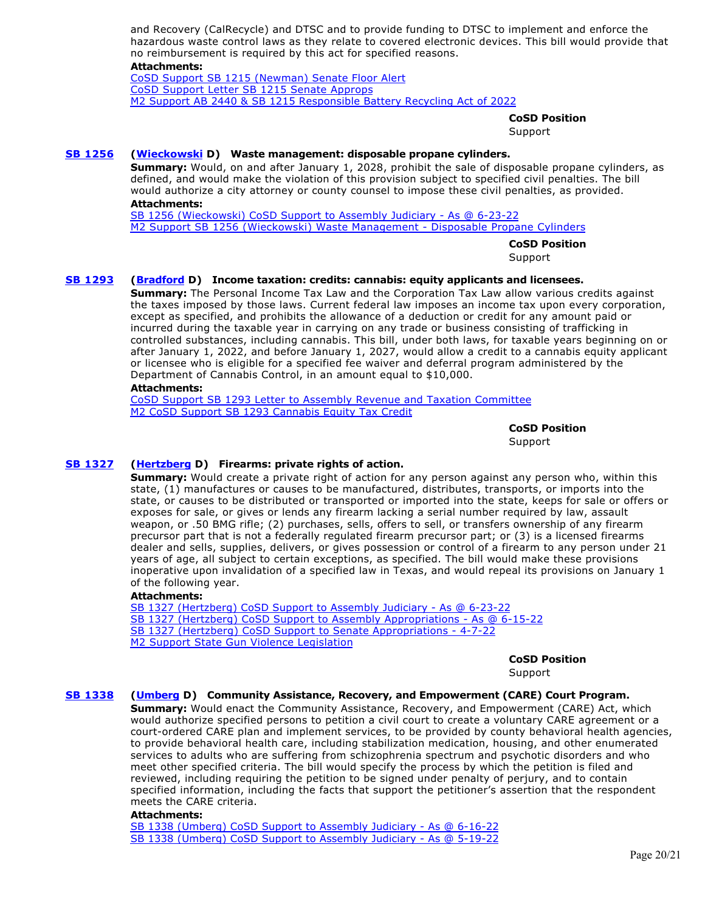and Recovery (CalRecycle) and DTSC and to provide funding to DTSC to implement and enforce the hazardous waste control laws as they relate to covered electronic devices. This bill would provide that no reimbursement is required by this act for specified reasons.

#### **Attachments:**

[CoSD Support SB 1215 \(Newman\) Senate Floor Alert](https://ctweb.capitoltrack.com/public/publishviewdoc.ashx?di=doiPWNstzzy1q30AbChmPmF2HoeW5pxBn8fBGdwvZWQ%3D) [CoSD Support Letter SB 1215 Senate Approps](https://ctweb.capitoltrack.com/public/publishviewdoc.ashx?di=QKICl6wirv2sEz2BIb4An3J%2FxGk6P7KAkkeYLjnKbJU%3D) [M2 Support AB 2440 & SB 1215 Responsible Battery Recycling Act of 2022](https://ctweb.capitoltrack.com/public/publishviewdoc.ashx?di=ProOyGINQ2SH33vnmXYZRHqDbn%2BYdHOWtFLDtr32DkE%3D)

# **CoSD Position**

**Support** 

# **[SB 1256](https://ctweb.capitoltrack.com/public/publishbillinfo.aspx?bi=P%2FW5WAMvnt7efgTSd5nm9gq3oN0EXmNflWAr2xg2Q5khgkanPjSXHiqLoXWPVk6O) [\(Wieckowski](http://sd10.senate.ca.gov/) D) Waste management: disposable propane cylinders.**

**Summary:** Would, on and after January 1, 2028, prohibit the sale of disposable propane cylinders, as defined, and would make the violation of this provision subject to specified civil penalties. The bill would authorize a city attorney or county counsel to impose these civil penalties, as provided. **Attachments:**

[SB 1256 \(Wieckowski\) CoSD Support to Assembly Judiciary - As @ 6-23-22](https://ctweb.capitoltrack.com/public/publishviewdoc.ashx?di=9fKWZV5eDRzZ7dByKi%2BZOweFeQjMFGDrmq%2Fz9kbgiJo%3D) [M2 Support SB 1256 \(Wieckowski\) Waste Management - Disposable Propane Cylinders](https://ctweb.capitoltrack.com/public/publishviewdoc.ashx?di=00nl8pGX4oCOpd3V6g4l5HEnKA1BH0i8%2FQeQtr5azA0%3D)

> **CoSD Position**  Support

# **[SB 1293](https://ctweb.capitoltrack.com/public/publishbillinfo.aspx?bi=83lxSTJz4PhT%2FqCvtNWmIlnEfcJFe9yOFy4%2Flg%2FqF7OukFrgVN5mJZEh7A5lSYMz) [\(Bradford](http://sd35.senate.ca.gov/) D) Income taxation: credits: cannabis: equity applicants and licensees.**

**Summary:** The Personal Income Tax Law and the Corporation Tax Law allow various credits against the taxes imposed by those laws. Current federal law imposes an income tax upon every corporation, except as specified, and prohibits the allowance of a deduction or credit for any amount paid or incurred during the taxable year in carrying on any trade or business consisting of trafficking in controlled substances, including cannabis. This bill, under both laws, for taxable years beginning on or after January 1, 2022, and before January 1, 2027, would allow a credit to a cannabis equity applicant or licensee who is eligible for a specified fee waiver and deferral program administered by the Department of Cannabis Control, in an amount equal to \$10,000.

#### **Attachments:**

[CoSD Support SB 1293 Letter to Assembly Revenue and Taxation Committee](https://ctweb.capitoltrack.com/public/publishviewdoc.ashx?di=%2Ba2r%2FRf9cYbbDbvihP%2FCBeL6kqjBO5X2uT3b6I1GzCw%3D) [M2 CoSD Support SB 1293 Cannabis Equity Tax Credit](https://ctweb.capitoltrack.com/public/publishviewdoc.ashx?di=%2Ba2r%2FRf9cYbbDbvihP%2FCBdNEOdMjEbtaEdTbG%2BcnpnE%3D)

> **CoSD Position**  Support

# **[SB 1327](https://ctweb.capitoltrack.com/public/publishbillinfo.aspx?bi=X7JsTsXgxO0vY2ZKll8fpqqPlWrdsqsV2Ghh0oK8iDeUX8XAKFnVnC8T36Nge39U) [\(Hertzberg](https://sd18.senate.ca.gov/) D) Firearms: private rights of action.**

**Summary:** Would create a private right of action for any person against any person who, within this state, (1) manufactures or causes to be manufactured, distributes, transports, or imports into the state, or causes to be distributed or transported or imported into the state, keeps for sale or offers or exposes for sale, or gives or lends any firearm lacking a serial number required by law, assault weapon, or .50 BMG rifle; (2) purchases, sells, offers to sell, or transfers ownership of any firearm precursor part that is not a federally regulated firearm precursor part; or (3) is a licensed firearms dealer and sells, supplies, delivers, or gives possession or control of a firearm to any person under 21 years of age, all subject to certain exceptions, as specified. The bill would make these provisions inoperative upon invalidation of a specified law in Texas, and would repeal its provisions on January 1 of the following year.

#### **Attachments:**

[SB 1327 \(Hertzberg\) CoSD Support to Assembly Judiciary - As @ 6-23-22](https://ctweb.capitoltrack.com/public/publishviewdoc.ashx?di=9fKWZV5eDRzZ7dByKi%2BZO7h5FKzUhVPDZTrzOM8XyEo%3D) [SB 1327 \(Hertzberg\) CoSD Support to Assembly Appropriations - As @ 6-15-22](https://ctweb.capitoltrack.com/public/publishviewdoc.ashx?di=ZppYl7SozKd6%2BtTAFkbXoR1q4BchQ%2B7W%2FRt1bZ11MDY%3D) [SB 1327 \(Hertzberg\) CoSD Support to Senate Appropriations - 4-7-22](https://ctweb.capitoltrack.com/public/publishviewdoc.ashx?di=dk2cOjgLcbW0twq%2Bh2dz51pUrS4IHSGJMLgGdOzX0AM%3D) [M2 Support State Gun Violence Legislation](https://ctweb.capitoltrack.com/public/publishviewdoc.ashx?di=dk2cOjgLcbW0twq%2Bh2dz5zdbi20Jh1YKZGL3E1hMhJI%3D)

**CoSD Position** 

Support

#### **[SB 1338](https://ctweb.capitoltrack.com/public/publishbillinfo.aspx?bi=BGuVabveIJEI4s4OuYDkaB4odQ9PJiOT%2BuB7xGLaTkEaJbE0q8%2F86pybJ6bg5dLa) [\(Umberg](https://sd34.senate.ca.gov/) D) Community Assistance, Recovery, and Empowerment (CARE) Court Program.**

**Summary:** Would enact the Community Assistance, Recovery, and Empowerment (CARE) Act, which would authorize specified persons to petition a civil court to create a voluntary CARE agreement or a court-ordered CARE plan and implement services, to be provided by county behavioral health agencies, to provide behavioral health care, including stabilization medication, housing, and other enumerated services to adults who are suffering from schizophrenia spectrum and psychotic disorders and who meet other specified criteria. The bill would specify the process by which the petition is filed and reviewed, including requiring the petition to be signed under penalty of perjury, and to contain specified information, including the facts that support the petitioner's assertion that the respondent meets the CARE criteria.

#### **Attachments:**

[SB 1338 \(Umberg\) CoSD Support to Assembly Judiciary - As @ 6-16-22](https://ctweb.capitoltrack.com/public/publishviewdoc.ashx?di=HvpOoixAxkZCpeMup4OGGT9uOAMT1ZrrbEnUzpXaLog%3D) [SB 1338 \(Umberg\) CoSD Support to Assembly Judiciary - As @ 5-19-22](https://ctweb.capitoltrack.com/public/publishviewdoc.ashx?di=it56qjknhDjyjtLzpVdflbk%2BvmpRtlENQdkRyd0VvUk%3D)